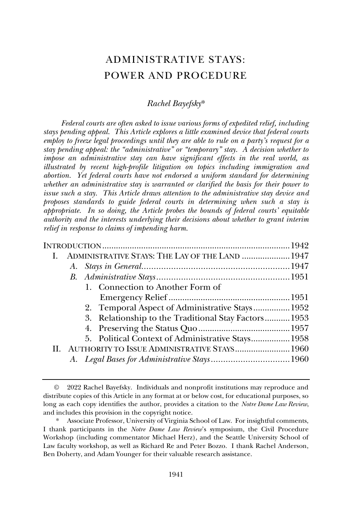# ADMINISTRATIVE STAYS: POWER AND PROCEDURE

#### *Rachel Bayefsky*\*

*Federal courts are often asked to issue various forms of expedited relief, including stays pending appeal. This Article explores a little examined device that federal courts employ to freeze legal proceedings until they are able to rule on a party's request for a stay pending appeal: the "administrative" or "temporary" stay. A decision whether to impose an administrative stay can have significant effects in the real world, as illustrated by recent high-profile litigation on topics including immigration and abortion. Yet federal courts have not endorsed a uniform standard for determining whether an administrative stay is warranted or clarified the basis for their power to issue such a stay. This Article draws attention to the administrative stay device and proposes standards to guide federal courts in determining when such a stay is appropriate. In so doing, the Article probes the bounds of federal courts' equitable authority and the interests underlying their decisions about whether to grant interim relief in response to claims of impending harm.*

| ADMINISTRATIVE STAYS: THE LAY OF THE LAND  1947<br>L. |  |
|-------------------------------------------------------|--|
|                                                       |  |
|                                                       |  |
| 1. Connection to Another Form of                      |  |
|                                                       |  |
| 2. Temporal Aspect of Administrative Stays 1952       |  |
| 3. Relationship to the Traditional Stay Factors 1953  |  |
|                                                       |  |
| 5. Political Context of Administrative Stays 1958     |  |
| II. AUTHORITY TO ISSUE ADMINISTRATIVE STAYS 1960      |  |
|                                                       |  |
|                                                       |  |

<sup>©</sup> 2022 Rachel Bayefsky. Individuals and nonprofit institutions may reproduce and distribute copies of this Article in any format at or below cost, for educational purposes, so long as each copy identifies the author, provides a citation to the *Notre Dame Law Review*, and includes this provision in the copyright notice.

<sup>\*</sup> Associate Professor, University of Virginia School of Law. For insightful comments, I thank participants in the *Notre Dame Law Review*'s symposium, the Civil Procedure Workshop (including commentator Michael Herz), and the Seattle University School of Law faculty workshop, as well as Richard Re and Peter Bozzo. I thank Rachel Anderson, Ben Doherty, and Adam Younger for their valuable research assistance.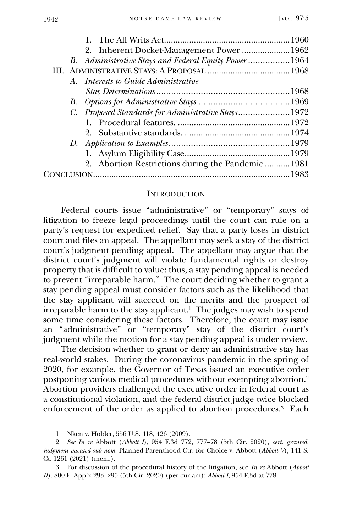| 2. Inherent Docket-Management Power  1962             |  |
|-------------------------------------------------------|--|
| B. Administrative Stays and Federal Equity Power 1964 |  |
|                                                       |  |
| A. Interests to Guide Administrative                  |  |
|                                                       |  |
|                                                       |  |
| C. Proposed Standards for Administrative Stays1972    |  |
|                                                       |  |
|                                                       |  |
|                                                       |  |
|                                                       |  |
| 2. Abortion Restrictions during the Pandemic 1981     |  |
|                                                       |  |
|                                                       |  |

#### **INTRODUCTION**

<span id="page-1-0"></span>Federal courts issue "administrative" or "temporary" stays of litigation to freeze legal proceedings until the court can rule on a party's request for expedited relief. Say that a party loses in district court and files an appeal. The appellant may seek a stay of the district court's judgment pending appeal. The appellant may argue that the district court's judgment will violate fundamental rights or destroy property that is difficult to value; thus, a stay pending appeal is needed to prevent "irreparable harm." The court deciding whether to grant a stay pending appeal must consider factors such as the likelihood that the stay applicant will succeed on the merits and the prospect of irreparable harm to the stay applicant.<sup>1</sup> The judges may wish to spend some time considering these factors. Therefore, the court may issue an "administrative" or "temporary" stay of the district court's judgment while the motion for a stay pending appeal is under review.

The decision whether to grant or deny an administrative stay has real-world stakes. During the coronavirus pandemic in the spring of 2020, for example, the Governor of Texas issued an executive order postponing various medical procedures without exempting abortion.<sup>2</sup> Abortion providers challenged the executive order in federal court as a constitutional violation, and the federal district judge twice blocked enforcement of the order as applied to abortion procedures.<sup>3</sup> Each

<sup>1</sup> Nken v. Holder, 556 U.S. 418, 426 (2009).

<sup>2</sup> *See In re* Abbott (*Abbott I*), 954 F.3d 772, 777–78 (5th Cir. 2020), *cert. granted*, *judgment vacated sub nom.* Planned Parenthood Ctr. for Choice v. Abbott (*Abbott V*), 141 S. Ct. 1261 (2021) (mem.).

<sup>3</sup> For discussion of the procedural history of the litigation, see *In re* Abbott (*Abbott II*), 800 F. App'x 293, 295 (5th Cir. 2020) (per curiam); *Abbott I*, 954 F.3d at 778.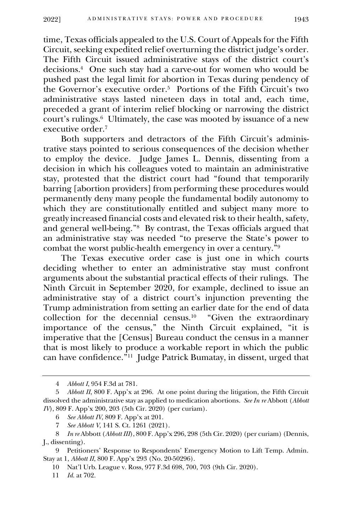time, Texas officials appealed to the U.S. Court of Appeals for the Fifth Circuit, seeking expedited relief overturning the district judge's order. The Fifth Circuit issued administrative stays of the district court's decisions. <sup>4</sup> One such stay had a carve-out for women who would be pushed past the legal limit for abortion in Texas during pendency of the Governor's executive order.<sup>5</sup> Portions of the Fifth Circuit's two administrative stays lasted nineteen days in total and, each time, preceded a grant of interim relief blocking or narrowing the district court's rulings.<sup>6</sup> Ultimately, the case was mooted by issuance of a new executive order.<sup>7</sup>

Both supporters and detractors of the Fifth Circuit's administrative stays pointed to serious consequences of the decision whether to employ the device. Judge James L. Dennis, dissenting from a decision in which his colleagues voted to maintain an administrative stay, protested that the district court had "found that temporarily barring [abortion providers] from performing these procedures would permanently deny many people the fundamental bodily autonomy to which they are constitutionally entitled and subject many more to greatly increased financial costs and elevated risk to their health, safety, and general well-being."<sup>8</sup> By contrast, the Texas officials argued that an administrative stay was needed "to preserve the State's power to combat the worst public-health emergency in over a century.<sup>"9</sup>

The Texas executive order case is just one in which courts deciding whether to enter an administrative stay must confront arguments about the substantial practical effects of their rulings. The Ninth Circuit in September 2020, for example, declined to issue an administrative stay of a district court's injunction preventing the Trump administration from setting an earlier date for the end of data collection for the decennial census.<sup>10</sup> "Given the extraordinary importance of the census," the Ninth Circuit explained, "it is imperative that the [Census] Bureau conduct the census in a manner that is most likely to produce a workable report in which the public can have confidence."<sup>11</sup> Judge Patrick Bumatay, in dissent, urged that

<sup>4</sup> *Abbott I*, 954 F.3d at 781.

<sup>5</sup> *Abbott II*, 800 F. App'x at 296. At one point during the litigation, the Fifth Circuit dissolved the administrative stay as applied to medication abortions. *See In re* Abbott (*Abbott IV*), 809 F. App'x 200, 203 (5th Cir. 2020) (per curiam).

<sup>6</sup> *See Abbott IV*, 809 F. App'x at 201.

<sup>7</sup> *See Abbott V*, 141 S. Ct. 1261 (2021).

<sup>8</sup> *In re* Abbott (*Abbott III*), 800 F. App'x 296, 298 (5th Cir. 2020) (per curiam) (Dennis, J., dissenting).

<sup>9</sup> Petitioners' Response to Respondents' Emergency Motion to Lift Temp. Admin. Stay at 1, *Abbott II*, 800 F. App'x 293 (No. 20-50296).

<sup>10</sup> Nat'l Urb. League v. Ross, 977 F.3d 698, 700, 703 (9th Cir. 2020).

<sup>11</sup> *Id.* at 702.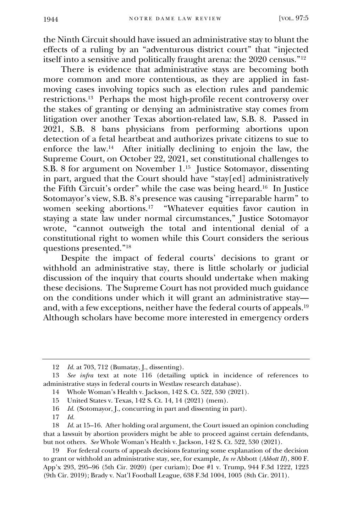the Ninth Circuit should have issued an administrative stay to blunt the effects of a ruling by an "adventurous district court" that "injected itself into a sensitive and politically fraught arena: the 2020 census."<sup>12</sup>

There is evidence that administrative stays are becoming both more common and more contentious, as they are applied in fastmoving cases involving topics such as election rules and pandemic restrictions.<sup>13</sup> Perhaps the most high-profile recent controversy over the stakes of granting or denying an administrative stay comes from litigation over another Texas abortion-related law, S.B. 8. Passed in 2021, S.B. 8 bans physicians from performing abortions upon detection of a fetal heartbeat and authorizes private citizens to sue to enforce the law.<sup>14</sup> After initially declining to enjoin the law, the Supreme Court, on October 22, 2021, set constitutional challenges to S.B. 8 for argument on November 1.<sup>15</sup> Justice Sotomayor, dissenting in part, argued that the Court should have "stay[ed] administratively the Fifth Circuit's order" while the case was being heard.<sup>16</sup> In Justice Sotomayor's view, S.B. 8's presence was causing "irreparable harm" to women seeking abortions.<sup>17</sup> "Whatever equities favor caution in staying a state law under normal circumstances," Justice Sotomayor wrote, "cannot outweigh the total and intentional denial of a constitutional right to women while this Court considers the serious questions presented."<sup>18</sup>

Despite the impact of federal courts' decisions to grant or withhold an administrative stay, there is little scholarly or judicial discussion of the inquiry that courts should undertake when making these decisions. The Supreme Court has not provided much guidance on the conditions under which it will grant an administrative stay and, with a few exceptions, neither have the federal courts of appeals.<sup>19</sup> Although scholars have become more interested in emergency orders

<sup>12</sup> *Id.* at 703, 712 (Bumatay, J., dissenting).

<sup>13</sup> *See infra* text at note 116 (detailing uptick in incidence of references to administrative stays in federal courts in Westlaw research database).

<sup>14</sup> Whole Woman's Health v. Jackson, 142 S. Ct. 522, 530 (2021).

<sup>15</sup> United States v. Texas, 142 S. Ct. 14, 14 (2021) (mem).

<sup>16</sup> *Id.* (Sotomayor, J., concurring in part and dissenting in part).

<sup>17</sup> *Id.*

<sup>18</sup> *Id.* at 15–16. After holding oral argument, the Court issued an opinion concluding that a lawsuit by abortion providers might be able to proceed against certain defendants, but not others. *See* Whole Woman's Health v. Jackson, 142 S. Ct. 522, 530 (2021).

<sup>19</sup> For federal courts of appeals decisions featuring some explanation of the decision to grant or withhold an administrative stay, see, for example, *In re* Abbott (*Abbott II*), 800 F. App'x 293, 295–96 (5th Cir. 2020) (per curiam); Doe #1 v. Trump, 944 F.3d 1222, 1223 (9th Cir. 2019); Brady v. Nat'l Football League, 638 F.3d 1004, 1005 (8th Cir. 2011).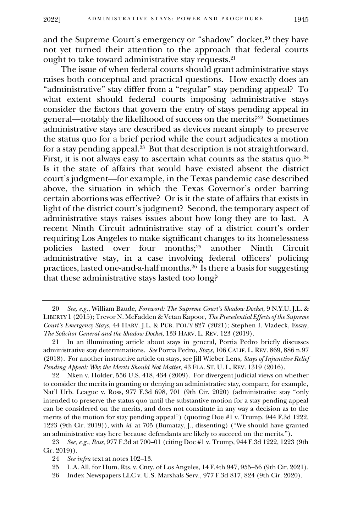and the Supreme Court's emergency or "shadow" docket,<sup>20</sup> they have not yet turned their attention to the approach that federal courts ought to take toward administrative stay requests.<sup>21</sup>

The issue of when federal courts should grant administrative stays raises both conceptual and practical questions. How exactly does an "administrative" stay differ from a "regular" stay pending appeal? To what extent should federal courts imposing administrative stays consider the factors that govern the entry of stays pending appeal in general—notably the likelihood of success on the merits?<sup>22</sup> Sometimes administrative stays are described as devices meant simply to preserve the status quo for a brief period while the court adjudicates a motion for a stay pending appeal.<sup>23</sup> But that description is not straightforward. First, it is not always easy to ascertain what counts as the status  $\rm{quo.^{\rm 24}}$ Is it the state of affairs that would have existed absent the district court's judgment—for example, in the Texas pandemic case described above, the situation in which the Texas Governor's order barring certain abortions was effective? Or is it the state of affairs that exists in light of the district court's judgment? Second, the temporary aspect of administrative stays raises issues about how long they are to last. A recent Ninth Circuit administrative stay of a district court's order requiring Los Angeles to make significant changes to its homelessness policies lasted over four months;<sup>25</sup> another Ninth Circuit administrative stay, in a case involving federal officers' policing practices, lasted one-and-a-half months.<sup>26</sup> Is there a basis for suggesting that these administrative stays lasted too long?

22 Nken v. Holder, 556 U.S. 418, 434 (2009). For divergent judicial views on whether to consider the merits in granting or denying an administrative stay, compare, for example, Nat'l Urb. League v. Ross, 977 F.3d 698, 701 (9th Cir. 2020) (administrative stay "only intended to preserve the status quo until the substantive motion for a stay pending appeal can be considered on the merits, and does not constitute in any way a decision as to the merits of the motion for stay pending appeal") (quoting Doe #1 v. Trump, 944 F.3d 1222, 1223 (9th Cir. 2019)), with *id.* at 705 (Bumatay, J., dissenting) ("We should have granted an administrative stay here because defendants are likely to succeed on the merits.").

23 *See, e.g.*, *Ross*, 977 F.3d at 700–01 (citing Doe #1 v. Trump, 944 F.3d 1222, 1223 (9th Cir. 2019)).

<sup>20</sup> *See, e.g.*, William Baude, *Foreword: The Supreme Court's Shadow Docket*, 9 N.Y.U. J.L. & LIBERTY 1 (2015); Trevor N. McFadden & Vetan Kapoor, *The Precedential Effects of the Supreme Court's Emergency Stays*, 44 HARV. J.L. & PUB. POL'Y 827 (2021); Stephen I. Vladeck, Essay, *The Solicitor General and the Shadow Docket*, 133 HARV. L. REV. 123 (2019).

<sup>21</sup> In an illuminating article about stays in general, Portia Pedro briefly discusses administrative stay determinations. *See* Portia Pedro, *Stays*, 106 CALIF. L. REV. 869, 886 n.97 (2018). For another instructive article on stays, see Jill Wieber Lens, *Stays of Injunctive Relief Pending Appeal: Why the Merits Should Not Matter*, 43 FLA. ST. U. L. REV. 1319 (2016).

<sup>24</sup> *See infra* text at notes 102–13.

<sup>25</sup> L.A. All. for Hum. Rts. v. Cnty. of Los Angeles, 14 F.4th 947, 955–56 (9th Cir. 2021).

<sup>26</sup> Index Newspapers LLC v. U.S. Marshals Serv., 977 F.3d 817, 824 (9th Cir. 2020).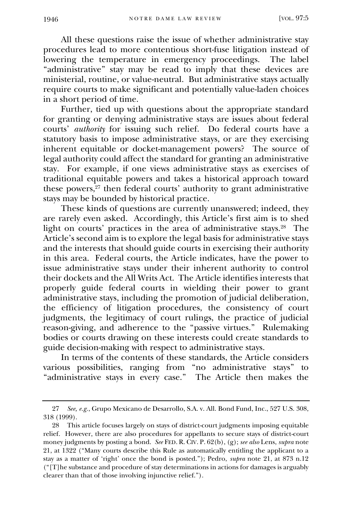All these questions raise the issue of whether administrative stay procedures lead to more contentious short-fuse litigation instead of lowering the temperature in emergency proceedings. The label "administrative" stay may be read to imply that these devices are ministerial, routine, or value-neutral. But administrative stays actually require courts to make significant and potentially value-laden choices in a short period of time.

Further, tied up with questions about the appropriate standard for granting or denying administrative stays are issues about federal courts' *authority* for issuing such relief. Do federal courts have a statutory basis to impose administrative stays, or are they exercising inherent equitable or docket-management powers? The source of legal authority could affect the standard for granting an administrative stay. For example, if one views administrative stays as exercises of traditional equitable powers and takes a historical approach toward these powers, $27$  then federal courts' authority to grant administrative stays may be bounded by historical practice.

These kinds of questions are currently unanswered; indeed, they are rarely even asked. Accordingly, this Article's first aim is to shed light on courts' practices in the area of administrative stays.<sup>28</sup> The Article's second aim is to explore the legal basis for administrative stays and the interests that should guide courts in exercising their authority in this area. Federal courts, the Article indicates, have the power to issue administrative stays under their inherent authority to control their dockets and the All Writs Act. The Article identifies interests that properly guide federal courts in wielding their power to grant administrative stays, including the promotion of judicial deliberation, the efficiency of litigation procedures, the consistency of court judgments, the legitimacy of court rulings, the practice of judicial reason-giving, and adherence to the "passive virtues." Rulemaking bodies or courts drawing on these interests could create standards to guide decision-making with respect to administrative stays.

In terms of the contents of these standards, the Article considers various possibilities, ranging from "no administrative stays" to "administrative stays in every case." The Article then makes the

<sup>27</sup> *See, e.g.*, Grupo Mexicano de Desarrollo, S.A. v. All. Bond Fund, Inc., 527 U.S. 308, 318 (1999).

<sup>28</sup> This article focuses largely on stays of district-court judgments imposing equitable relief. However, there are also procedures for appellants to secure stays of district-court money judgments by posting a bond. *See* FED. R. CIV. P. 62(b), (g); *see also* Lens, *supra* note 21, at 1322 ("Many courts describe this Rule as automatically entitling the applicant to a stay as a matter of 'right' once the bond is posted."); Pedro, *supra* note 21, at 873 n.12 ("[T]he substance and procedure of stay determinations in actions for damages is arguably clearer than that of those involving injunctive relief.").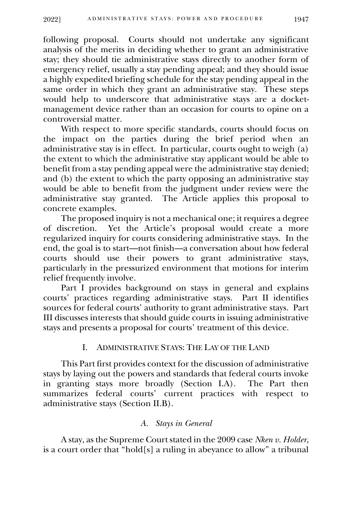following proposal. Courts should not undertake any significant analysis of the merits in deciding whether to grant an administrative stay; they should tie administrative stays directly to another form of emergency relief, usually a stay pending appeal; and they should issue a highly expedited briefing schedule for the stay pending appeal in the same order in which they grant an administrative stay. These steps would help to underscore that administrative stays are a docketmanagement device rather than an occasion for courts to opine on a controversial matter.

With respect to more specific standards, courts should focus on the impact on the parties during the brief period when an administrative stay is in effect. In particular, courts ought to weigh (a) the extent to which the administrative stay applicant would be able to benefit from a stay pending appeal were the administrative stay denied; and (b) the extent to which the party opposing an administrative stay would be able to benefit from the judgment under review were the administrative stay granted. The Article applies this proposal to concrete examples.

The proposed inquiry is not a mechanical one; it requires a degree of discretion. Yet the Article's proposal would create a more regularized inquiry for courts considering administrative stays. In the end, the goal is to start—not finish—a conversation about how federal courts should use their powers to grant administrative stays, particularly in the pressurized environment that motions for interim relief frequently involve.

Part I provides background on stays in general and explains courts' practices regarding administrative stays. Part II identifies sources for federal courts' authority to grant administrative stays. Part III discusses interests that should guide courts in issuing administrative stays and presents a proposal for courts' treatment of this device.

## I. ADMINISTRATIVE STAYS: THE LAY OF THE LAND

<span id="page-6-0"></span>This Part first provides context for the discussion of administrative stays by laying out the powers and standards that federal courts invoke in granting stays more broadly (Section I.A). The Part then summarizes federal courts' current practices with respect to administrative stays (Section II.B).

#### *A. Stays in General*

<span id="page-6-1"></span>A stay, as the Supreme Court stated in the 2009 case *Nken v. Holder*, is a court order that "hold[s] a ruling in abeyance to allow" a tribunal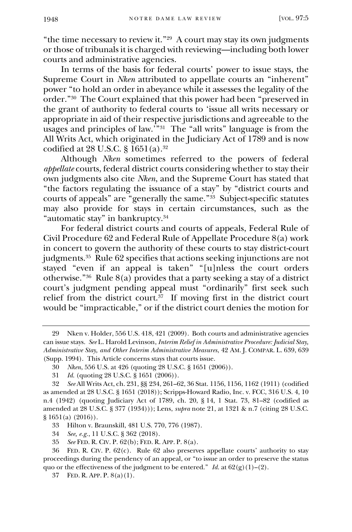"the time necessary to review it."<sup>29</sup> A court may stay its own judgments or those of tribunals it is charged with reviewing—including both lower courts and administrative agencies.

In terms of the basis for federal courts' power to issue stays, the Supreme Court in *Nken* attributed to appellate courts an "inherent" power "to hold an order in abeyance while it assesses the legality of the order."<sup>30</sup> The Court explained that this power had been "preserved in the grant of authority to federal courts to 'issue all writs necessary or appropriate in aid of their respective jurisdictions and agreeable to the usages and principles of law.'"<sup>31</sup> The "all writs" language is from the All Writs Act, which originated in the Judiciary Act of 1789 and is now codified at  $28$  U.S.C.  $\S$  1651(a).<sup>32</sup>

Although *Nken* sometimes referred to the powers of federal *appellate* courts, federal district courts considering whether to stay their own judgments also cite *Nken*, and the Supreme Court has stated that "the factors regulating the issuance of a stay" by "district courts and courts of appeals" are "generally the same."<sup>33</sup> Subject-specific statutes may also provide for stays in certain circumstances, such as the "automatic stay" in bankruptcy.<sup>34</sup>

For federal district courts and courts of appeals, Federal Rule of Civil Procedure 62 and Federal Rule of Appellate Procedure 8(a) work in concert to govern the authority of these courts to stay district-court judgments.<sup>35</sup> Rule 62 specifies that actions seeking injunctions are not stayed "even if an appeal is taken" "[u]nless the court orders otherwise."<sup>36</sup> Rule 8(a) provides that a party seeking a stay of a district court's judgment pending appeal must "ordinarily" first seek such relief from the district court.<sup>37</sup> If moving first in the district court would be "impracticable," or if the district court denies the motion for

35 *See* FED. R. CIV. P. 62(b); FED. R. APP. P. 8(a).

<sup>29</sup> Nken v. Holder, 556 U.S. 418, 421 (2009). Both courts and administrative agencies can issue stays. *See* L. Harold Levinson, *Interim Relief in Administrative Procedure: Judicial Stay, Administrative Stay, and Other Interim Administrative Measures*, 42 AM. J. COMPAR. L. 639, 639 (Supp. 1994). This Article concerns stays that courts issue.

<sup>30</sup> *Nken*, 556 U.S. at 426 (quoting 28 U.S.C. § 1651 (2006)).

<sup>31</sup> *Id.* (quoting 28 U.S.C. § 1651 (2006)).

<sup>32</sup> *See* All Writs Act, ch. 231, §§ 234, 261–62, 36 Stat. 1156, 1156, 1162 (1911) (codified as amended at 28 U.S.C. § 1651 (2018)); Scripps-Howard Radio, Inc. v. FCC, 316 U.S. 4, 10 n.4 (1942) (quoting Judiciary Act of 1789, ch. 20, § 14, 1 Stat. 73, 81–82 (codified as amended at 28 U.S.C. § 377 (1934))); Lens, *supra* note 21, at 1321 & n.7 (citing 28 U.S.C. § 1651(a) (2016)).

<sup>33</sup> Hilton v. Braunskill, 481 U.S. 770, 776 (1987).

<sup>34</sup> *See, e.g.*, 11 U.S.C. § 362 (2018).

<sup>36</sup> FED. R. CIV. P. 62(c). Rule 62 also preserves appellate courts' authority to stay proceedings during the pendency of an appeal, or "to issue an order to preserve the status quo or the effectiveness of the judgment to be entered." *Id.* at  $62(g)(1)-(2)$ .

<sup>37</sup> FED. R. APP. P. 8(a)(1).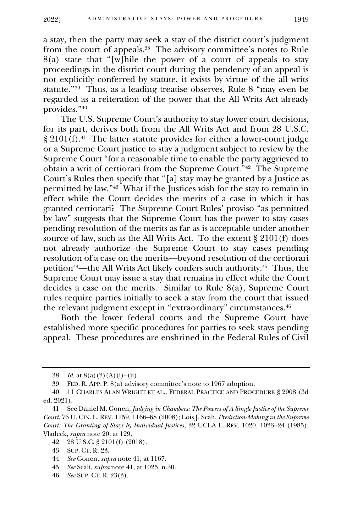2022] ADMINISTRATIVE STAYS: POWER AND PROCEDURE 1949

a stay, then the party may seek a stay of the district court's judgment from the court of appeals.<sup>38</sup> The advisory committee's notes to Rule  $8(a)$  state that "[w]hile the power of a court of appeals to stay proceedings in the district court during the pendency of an appeal is not explicitly conferred by statute, it exists by virtue of the all writs statute."<sup>39</sup> Thus, as a leading treatise observes, Rule 8 "may even be regarded as a reiteration of the power that the All Writs Act already provides."<sup>40</sup>

The U.S. Supreme Court's authority to stay lower court decisions, for its part, derives both from the All Writs Act and from 28 U.S.C. § 2101(f).<sup>41</sup> The latter statute provides for either a lower-court judge or a Supreme Court justice to stay a judgment subject to review by the Supreme Court "for a reasonable time to enable the party aggrieved to obtain a writ of certiorari from the Supreme Court."<sup>42</sup> The Supreme Court's Rules then specify that "[a] stay may be granted by a Justice as permitted by law." 43 What if the Justices wish for the stay to remain in effect while the Court decides the merits of a case in which it has granted certiorari? The Supreme Court Rules' proviso "as permitted by law" suggests that the Supreme Court has the power to stay cases pending resolution of the merits as far as is acceptable under another source of law, such as the All Writs Act. To the extent § 2101(f) does not already authorize the Supreme Court to stay cases pending resolution of a case on the merits—beyond resolution of the certiorari petition44—the All Writs Act likely confers such authority. 45 Thus, the Supreme Court may issue a stay that remains in effect while the Court decides a case on the merits. Similar to Rule 8(a), Supreme Court rules require parties initially to seek a stay from the court that issued the relevant judgment except in "extraordinary" circumstances.<sup>46</sup>

Both the lower federal courts and the Supreme Court have established more specific procedures for parties to seek stays pending appeal. These procedures are enshrined in the Federal Rules of Civil

<sup>38</sup> *Id.* at  $8(a)(2)(A)(i) - (ii)$ .

<sup>39</sup> FED. R. APP. P. 8(a) advisory committee's note to 1967 adoption.

<sup>40</sup> 11 CHARLES ALAN WRIGHT ET AL., FEDERAL PRACTICE AND PROCEDURE § 2908 (3d ed. 2021).

<sup>41</sup> See Daniel M. Gonen, *Judging in Chambers: The Powers of A Single Justice of the Supreme Court*, 76 U. CIN. L. REV. 1159, 1166–68 (2008); Lois J. Scali, *Prediction-Making in the Supreme Court: The Granting of Stays by Individual Justices*, 32 UCLA L. REV. 1020, 1023–24 (1985); Vladeck, *supra* note 20, at 129.

<sup>42</sup> 28 U.S.C. § 2101(f) (2018).

<sup>43</sup> SUP. CT. R. 23.

<sup>44</sup> *See* Gonen, *supra* note 41, at 1167.

<sup>45</sup> *See* Scali, *supra* note 41, at 1025, n.30.

<sup>46</sup> *See* SUP. CT. R. 23(3).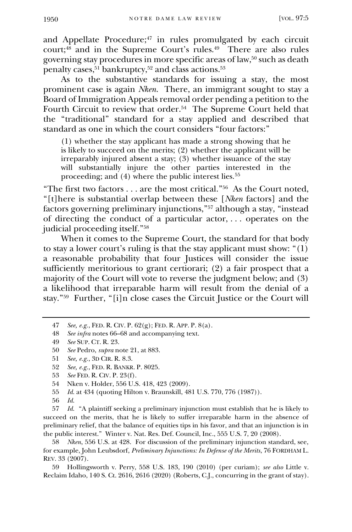and Appellate Procedure; $47$  in rules promulgated by each circuit court;<sup>48</sup> and in the Supreme Court's rules.<sup>49</sup> There are also rules governing stay procedures in more specific areas of law,<sup>50</sup> such as death penalty cases,  $51$  bankruptcy,  $52$  and class actions.  $53$ 

As to the substantive standards for issuing a stay, the most prominent case is again *Nken*. There, an immigrant sought to stay a Board of Immigration Appeals removal order pending a petition to the Fourth Circuit to review that order.<sup>54</sup> The Supreme Court held that the "traditional" standard for a stay applied and described that standard as one in which the court considers "four factors:"

(1) whether the stay applicant has made a strong showing that he is likely to succeed on the merits; (2) whether the applicant will be irreparably injured absent a stay; (3) whether issuance of the stay will substantially injure the other parties interested in the proceeding; and (4) where the public interest lies.<sup>55</sup>

"The first two factors . . . are the most critical."<sup>56</sup> As the Court noted, "[t]here is substantial overlap between these [*Nken* factors] and the factors governing preliminary injunctions,"<sup>57</sup> although a stay, "instead of directing the conduct of a particular actor, . . . operates on the judicial proceeding itself."<sup>58</sup>

When it comes to the Supreme Court, the standard for that body to stay a lower court's ruling is that the stay applicant must show: "(1) a reasonable probability that four Justices will consider the issue sufficiently meritorious to grant certiorari; (2) a fair prospect that a majority of the Court will vote to reverse the judgment below; and (3) a likelihood that irreparable harm will result from the denial of a stay."<sup>59</sup> Further, "[i]n close cases the Circuit Justice or the Court will

55 *Id.* at 434 (quoting Hilton v. Braunskill, 481 U.S. 770, 776 (1987)).

58 *Nken*, 556 U.S. at 428. For discussion of the preliminary injunction standard, see, for example, John Leubsdorf, *Preliminary Injunctions: In Defense of the Merits*, 76 FORDHAM L. REV. 33 (2007).

59 Hollingsworth v. Perry, 558 U.S. 183, 190 (2010) (per curiam); *see also* Little v. Reclaim Idaho, 140 S. Ct. 2616, 2616 (2020) (Roberts, C.J., concurring in the grant of stay).

<sup>47</sup> *See, e.g.*, FED. R. CIV. P. 62(g); FED. R. APP. P. 8(a).

<sup>48</sup> *See infra* notes 66–68 and accompanying text.

<sup>49</sup> *See* SUP. CT. R. 23.

<sup>50</sup> *See* Pedro, *supra* note 21, at 883.

<sup>51</sup> *See, e.g.*, 3D CIR. R. 8.3.

<sup>52</sup> *See, e.g.*, FED. R. BANKR. P. 8025.

<sup>53</sup> *See* FED. R. CIV. P. 23(f).

<sup>54</sup> Nken v. Holder, 556 U.S. 418, 423 (2009).

<sup>56</sup> *Id.*

<sup>57</sup> *Id.* "A plaintiff seeking a preliminary injunction must establish that he is likely to succeed on the merits, that he is likely to suffer irreparable harm in the absence of preliminary relief, that the balance of equities tips in his favor, and that an injunction is in the public interest." Winter v. Nat. Res. Def. Council, Inc., 555 U.S. 7, 20 (2008).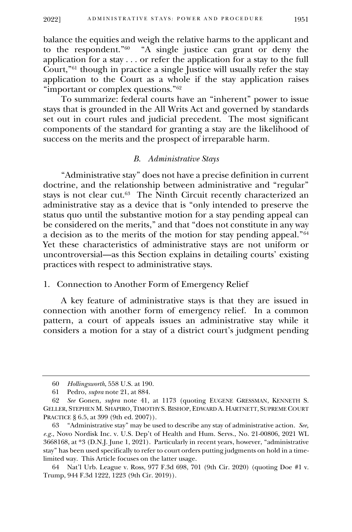balance the equities and weigh the relative harms to the applicant and to the respondent."<sup>60</sup> "A single justice can grant or deny the application for a stay . . . or refer the application for a stay to the full Court,"<sup>61</sup> though in practice a single Justice will usually refer the stay application to the Court as a whole if the stay application raises "important or complex questions."<sup>62</sup>

To summarize: federal courts have an "inherent" power to issue stays that is grounded in the All Writs Act and governed by standards set out in court rules and judicial precedent. The most significant components of the standard for granting a stay are the likelihood of success on the merits and the prospect of irreparable harm.

#### *B. Administrative Stays*

<span id="page-10-0"></span>"Administrative stay" does not have a precise definition in current doctrine, and the relationship between administrative and "regular" stays is not clear cut.<sup>63</sup> The Ninth Circuit recently characterized an administrative stay as a device that is "only intended to preserve the status quo until the substantive motion for a stay pending appeal can be considered on the merits," and that "does not constitute in any way a decision as to the merits of the motion for stay pending appeal."<sup>64</sup> Yet these characteristics of administrative stays are not uniform or uncontroversial—as this Section explains in detailing courts' existing practices with respect to administrative stays.

## 1. Connection to Another Form of Emergency Relief

<span id="page-10-1"></span>A key feature of administrative stays is that they are issued in connection with another form of emergency relief. In a common pattern, a court of appeals issues an administrative stay while it considers a motion for a stay of a district court's judgment pending

<sup>60</sup> *Hollingsworth*, 558 U.S. at 190.

<sup>61</sup> Pedro, *supra* note 21, at 884.

<sup>62</sup> *See* Gonen, *supra* note 41, at 1173 (quoting EUGENE GRESSMAN, KENNETH S. GELLER, STEPHEN M. SHAPIRO,TIMOTHY S. BISHOP, EDWARD A. HARTNETT, SUPREME COURT PRACTICE § 6.5, at 399 (9th ed. 2007)).

<sup>63</sup> "Administrative stay" may be used to describe any stay of administrative action. *See, e.g.*, Novo Nordisk Inc. v. U.S. Dep't of Health and Hum. Servs., No. 21-00806, 2021 WL 3668168, at \*3 (D.N.J. June 1, 2021). Particularly in recent years, however, "administrative stay" has been used specifically to refer to court orders putting judgments on hold in a timelimited way. This Article focuses on the latter usage.

<sup>64</sup> Nat'l Urb. League v. Ross, 977 F.3d 698, 701 (9th Cir. 2020) (quoting Doe #1 v. Trump, 944 F.3d 1222, 1223 (9th Cir. 2019)).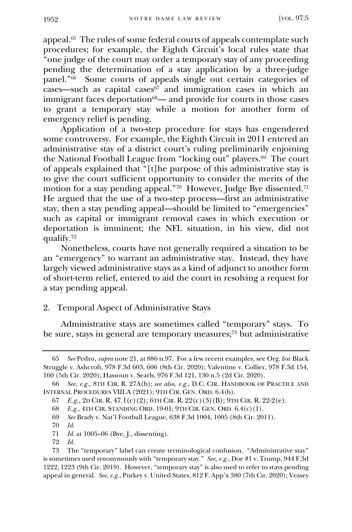appeal.<sup>65</sup> The rules of some federal courts of appeals contemplate such procedures; for example, the Eighth Circuit's local rules state that "one judge of the court may order a temporary stay of any proceeding pending the determination of a stay application by a three-judge panel."<sup>66</sup> Some courts of appeals single out certain categories of  $\csc$ —such as capital cases $\sin$  and immigration cases in which an immigrant faces deportation<sup>68</sup>— and provide for courts in those cases to grant a temporary stay while a motion for another form of emergency relief is pending.

Application of a two-step procedure for stays has engendered some controversy. For example, the Eighth Circuit in 2011 entered an administrative stay of a district court's ruling preliminarily enjoining the National Football League from "locking out" players.<sup>69</sup> The court of appeals explained that "[t]he purpose of this administrative stay is to give the court sufficient opportunity to consider the merits of the motion for a stay pending appeal." $\frac{70}{10}$  However, Judge Bye dissented." He argued that the use of a two-step process—first an administrative stay, then a stay pending appeal—should be limited to "emergencies" such as capital or immigrant removal cases in which execution or deportation is imminent; the NFL situation, in his view, did not qualify.<sup>72</sup>

Nonetheless, courts have not generally required a situation to be an "emergency" to warrant an administrative stay. Instead, they have largely viewed administrative stays as a kind of adjunct to another form of short-term relief, entered to aid the court in resolving a request for a stay pending appeal.

# 2. Temporal Aspect of Administrative Stays

Administrative stays are sometimes called "temporary" stays. To be sure, stays in general are temporary measures;<sup>73</sup> but administrative

70 *Id.*

72 *Id.*

<span id="page-11-0"></span><sup>65</sup> *See* Pedro, *supra* note 21, at 886 n.97. For a few recent examples, see Org. for Black Struggle v. Ashcroft, 978 F.3d 603, 606 (8th Cir. 2020); Valentine v. Collier, 978 F.3d 154, 160 (5th Cir. 2020); Hassoun v. Searls, 976 F.3d 121, 130 n.5 (2d Cir. 2020).

<sup>66</sup> *See, e.g.*, 8TH CIR. R. 27A(b); *see also, e.g.*, D.C. CIR. HANDBOOK OF PRACTICE AND INTERNAL PROCEDURES VIII.A (2021); 9TH CIR. GEN. ORD. 6.4(b).

<sup>67</sup> *E.g.*, 2D CIR. R.  $47.1(c)(2)$ ; 6TH CIR. R.  $22(c)(3)(B)$ ; 9TH CIR. R.  $22.2(e)$ .

<sup>68</sup> *E.g.*, 4TH CIR. STANDING ORD. 19-01; 9TH CIR. GEN. ORD. 6.4(c)(1).

<sup>69</sup> *See* Brady v. Nat'l Football League, 638 F.3d 1004, 1005 (8th Cir. 2011).

<sup>71</sup> *Id.* at 1005–06 (Bye, J., dissenting).

<sup>73</sup> The "temporary" label can create terminological confusion. "Administrative stay" is sometimes used synonymously with "temporary stay." *See, e.g.*, Doe #1 v. Trump, 944 F.3d 1222, 1223 (9th Cir. 2019). However, "temporary stay" is also used to refer to stays pending appeal in general. *See, e.g.*, Purkey v. United States, 812 F. App'x 380 (7th Cir. 2020); Veasey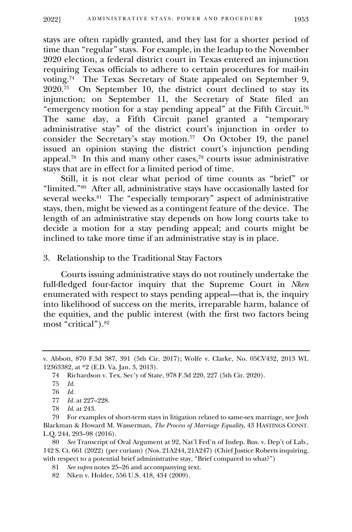stays are often rapidly granted, and they last for a shorter period of time than "regular" stays. For example, in the leadup to the November 2020 election, a federal district court in Texas entered an injunction requiring Texas officials to adhere to certain procedures for mail-in voting.<sup>74</sup> The Texas Secretary of State appealed on September 9, 2020.<sup>75</sup> On September 10, the district court declined to stay its injunction; on September 11, the Secretary of State filed an "emergency motion for a stay pending appeal" at the Fifth Circuit.<sup>76</sup> The same day, a Fifth Circuit panel granted a "temporary administrative stay" of the district court's injunction in order to consider the Secretary's stay motion.<sup>77</sup> On October 19, the panel issued an opinion staying the district court's injunction pending appeal.<sup>78</sup> In this and many other cases,<sup>79</sup> courts issue administrative stays that are in effect for a limited period of time.

Still, it is not clear what period of time counts as "brief" or "limited."<sup>80</sup> After all, administrative stays have occasionally lasted for several weeks.<sup>81</sup> The "especially temporary" aspect of administrative stays, then, might be viewed as a contingent feature of the device. The length of an administrative stay depends on how long courts take to decide a motion for a stay pending appeal; and courts might be inclined to take more time if an administrative stay is in place.

# 3. Relationship to the Traditional Stay Factors

<span id="page-12-0"></span>Courts issuing administrative stays do not routinely undertake the full-fledged four-factor inquiry that the Supreme Court in *Nken*  enumerated with respect to stays pending appeal—that is, the inquiry into likelihood of success on the merits, irreparable harm, balance of the equities, and the public interest (with the first two factors being most "critical").<sup>82</sup>

77 *Id.* at 227–228.

82 Nken v. Holder, 556 U.S. 418, 434 (2009).

v. Abbott, 870 F.3d 387, 391 (5th Cir. 2017); Wolfe v. Clarke, No. 05CV432, 2013 WL 12363382, at \*2 (E.D. Va. Jan. 3, 2013).

<sup>74</sup> Richardson v. Tex. Sec'y of State, 978 F.3d 220, 227 (5th Cir. 2020).

<sup>75</sup> *Id.*

<sup>76</sup> *Id.*

<sup>78</sup> *Id.* at 243.

<sup>79</sup> For examples of short-term stays in litigation related to same-sex marriage, see Josh Blackman & Howard M. Wasserman, *The Process of Marriage Equality*, 43 HASTINGS CONST. L.Q. 244, 293–98 (2016).

<sup>80</sup> *See* Transcript of Oral Argument at 92, Nat'l Fed'n of Indep. Bus. v. Dep't of Lab., 142 S. Ct. 661 (2022) (per curiam) (Nos. 21A244, 21A247) (Chief Justice Roberts inquiring, with respect to a potential brief administrative stay, "Brief compared to what?")

<sup>81</sup> *See supra* notes 25–26 and accompanying text.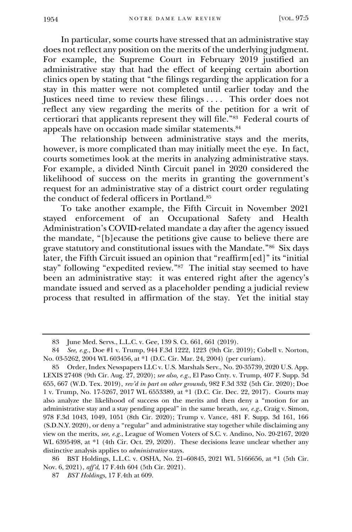In particular, some courts have stressed that an administrative stay does not reflect any position on the merits of the underlying judgment. For example, the Supreme Court in February 2019 justified an administrative stay that had the effect of keeping certain abortion clinics open by stating that "the filings regarding the application for a stay in this matter were not completed until earlier today and the Justices need time to review these filings . . . . This order does not reflect any view regarding the merits of the petition for a writ of certiorari that applicants represent they will file."<sup>83</sup> Federal courts of appeals have on occasion made similar statements.<sup>84</sup>

The relationship between administrative stays and the merits, however, is more complicated than may initially meet the eye. In fact, courts sometimes look at the merits in analyzing administrative stays. For example, a divided Ninth Circuit panel in 2020 considered the likelihood of success on the merits in granting the government's request for an administrative stay of a district court order regulating the conduct of federal officers in Portland.<sup>85</sup>

To take another example, the Fifth Circuit in November 2021 stayed enforcement of an Occupational Safety and Health Administration's COVID-related mandate a day after the agency issued the mandate, "[b]ecause the petitions give cause to believe there are grave statutory and constitutional issues with the Mandate."<sup>86</sup> Six days later, the Fifth Circuit issued an opinion that "reaffirm[ed]" its "initial stay" following "expedited review."<sup>87</sup> The initial stay seemed to have been an administrative stay: it was entered right after the agency's mandate issued and served as a placeholder pending a judicial review process that resulted in affirmation of the stay. Yet the initial stay

86 BST Holdings, L.L.C. v. OSHA, No. 21–60845, 2021 WL 5166656, at \*1 (5th Cir. Nov. 6, 2021), *aff'd*, 17 F.4th 604 (5th Cir. 2021).

87 *BST Holdings*, 17 F.4th at 609.

<sup>83</sup> June Med. Servs., L.L.C. v. Gee, 139 S. Ct. 661, 661 (2019).

<sup>84</sup> *See, e.g.*, Doe #1 v. Trump, 944 F.3d 1222, 1223 (9th Cir. 2019); Cobell v. Norton, No. 03-5262, 2004 WL 603456, at \*1 (D.C. Cir. Mar. 24, 2004) (per curiam).

<sup>85</sup> Order, Index Newspapers LLC v. U.S. Marshals Serv., No. 20-35739, 2020 U.S. App. LEXIS 27408 (9th Cir. Aug. 27, 2020); *see also, e.g.*, El Paso Cnty. v. Trump, 407 F. Supp. 3d 655, 667 (W.D. Tex. 2019), *rev'd in part on other grounds*, 982 F.3d 332 (5th Cir. 2020); Doe 1 v. Trump, No. 17-5267, 2017 WL 6553389, at \*1 (D.C. Cir. Dec. 22, 2017). Courts may also analyze the likelihood of success on the merits and then deny a "motion for an administrative stay and a stay pending appeal" in the same breath, *see, e.g.*, Craig v. Simon, 978 F.3d 1043, 1049, 1051 (8th Cir. 2020); Trump v. Vance, 481 F. Supp. 3d 161, 166 (S.D.N.Y. 2020), or deny a "regular" and administrative stay together while disclaiming any view on the merits, *see, e.g.*, League of Women Voters of S.C. v. Andino, No. 20-2167, 2020 WL 6395498, at \*1 (4th Cir. Oct. 29, 2020). These decisions leave unclear whether any distinctive analysis applies to *administrative* stays.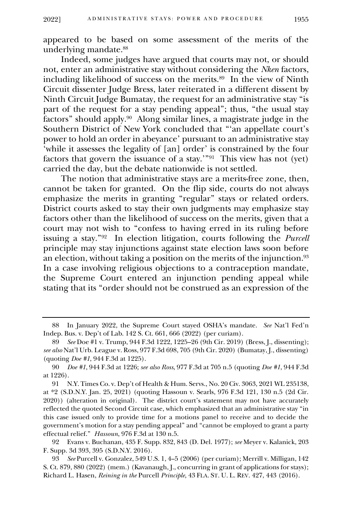appeared to be based on some assessment of the merits of the underlying mandate.<sup>88</sup>

Indeed, some judges have argued that courts may not, or should not, enter an administrative stay without considering the *Nken* factors, including likelihood of success on the merits.<sup>89</sup> In the view of Ninth Circuit dissenter Judge Bress, later reiterated in a different dissent by Ninth Circuit Judge Bumatay, the request for an administrative stay "is part of the request for a stay pending appeal"; thus, "the usual stay factors" should apply.<sup>90</sup> Along similar lines, a magistrate judge in the Southern District of New York concluded that "'an appellate court's power to hold an order in abeyance' pursuant to an administrative stay 'while it assesses the legality of [an] order' is constrained by the four factors that govern the issuance of a stay.'"<sup>91</sup> This view has not (yet) carried the day, but the debate nationwide is not settled.

The notion that administrative stays are a merits-free zone, then, cannot be taken for granted. On the flip side, courts do not always emphasize the merits in granting "regular" stays or related orders. District courts asked to stay their own judgments may emphasize stay factors other than the likelihood of success on the merits, given that a court may not wish to "confess to having erred in its ruling before issuing a stay."<sup>92</sup> In election litigation, courts following the *Purcell*  principle may stay injunctions against state election laws soon before an election, without taking a position on the merits of the injunction. $^{93}$ In a case involving religious objections to a contraception mandate, the Supreme Court entered an injunction pending appeal while stating that its "order should not be construed as an expression of the

<sup>88</sup> In January 2022, the Supreme Court stayed OSHA's mandate. *See* Nat'l Fed'n Indep. Bus. v. Dep't of Lab. 142 S. Ct. 661, 666 (2022) (per curiam).

<sup>89</sup> *See* Doe #1 v. Trump, 944 F.3d 1222, 1225–26 (9th Cir. 2019) (Bress, J., dissenting); *see also* Nat'l Urb. League v. Ross, 977 F.3d 698, 705 (9th Cir. 2020) (Bumatay, J., dissenting) (quoting *Doe #1*, 944 F.3d at 1225).

<sup>90</sup> *Doe #1*, 944 F.3d at 1226; *see also Ross*, 977 F.3d at 705 n.5 (quoting *Doe #1*, 944 F.3d at 1226).

<sup>91</sup> N.Y. Times Co. v. Dep't of Health & Hum. Servs., No. 20 Civ. 3063, 2021 WL 235138, at \*2 (S.D.N.Y. Jan. 25, 2021) (quoting Hassoun v. Searls, 976 F.3d 121, 130 n.5 (2d Cir. 2020)) (alteration in original). The district court's statement may not have accurately reflected the quoted Second Circuit case, which emphasized that an administrative stay "in this case issued only to provide time for a motions panel to receive and to decide the government's motion for a stay pending appeal" and "cannot be employed to grant a party effectual relief." *Hassoun*, 976 F.3d at 130 n.5.

<sup>92</sup> Evans v. Buchanan, 435 F. Supp. 832, 843 (D. Del. 1977); *see* Meyer v. Kalanick, 203 F. Supp. 3d 393, 395 (S.D.N.Y. 2016).

<sup>93</sup> *See* Purcell v. Gonzalez, 549 U.S. 1, 4–5 (2006) (per curiam); Merrill v. Milligan, 142 S. Ct. 879, 880 (2022) (mem.) (Kavanaugh, J., concurring in grant of applications for stays); Richard L. Hasen, *Reining in the* Purcell *Principle*, 43 FLA. ST. U. L. REV. 427, 443 (2016).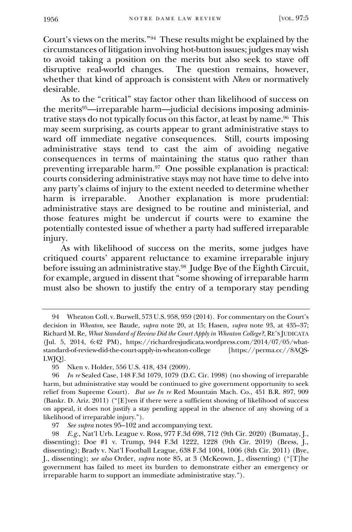Court's views on the merits."<sup>94</sup> These results might be explained by the circumstances of litigation involving hot-button issues; judges may wish to avoid taking a position on the merits but also seek to stave off disruptive real-world changes. The question remains, however, whether that kind of approach is consistent with *Nken* or normatively desirable.

As to the "critical" stay factor other than likelihood of success on the merits<sup>95</sup>—irreparable harm—judicial decisions imposing administrative stays do not typically focus on this factor, at least by name.<sup>96</sup> This may seem surprising, as courts appear to grant administrative stays to ward off immediate negative consequences. Still, courts imposing administrative stays tend to cast the aim of avoiding negative consequences in terms of maintaining the status quo rather than preventing irreparable harm.<sup>97</sup> One possible explanation is practical: courts considering administrative stays may not have time to delve into any party's claims of injury to the extent needed to determine whether harm is irreparable. Another explanation is more prudential: administrative stays are designed to be routine and ministerial, and those features might be undercut if courts were to examine the potentially contested issue of whether a party had suffered irreparable injury.

As with likelihood of success on the merits, some judges have critiqued courts' apparent reluctance to examine irreparable injury before issuing an administrative stay.<sup>98</sup> Judge Bye of the Eighth Circuit, for example, argued in dissent that "some showing of irreparable harm must also be shown to justify the entry of a temporary stay pending

<sup>94</sup> Wheaton Coll. v. Burwell, 573 U.S. 958, 959 (2014). For commentary on the Court's decision in *Wheaton*, see Baude, *supra* note 20, at 15; Hasen, *supra* note 93, at 435–37; Richard M. Re, *What Standard of Review Did the Court Apply in Wheaton College?*, RE'S JUDICATA (Jul. 5, 2014, 6:42 PM), https://richardresjudicata.wordpress.com/2014/07/05/whatstandard-of-review-did-the-court-apply-in-wheaton-college [https://perma.cc//8AQS-LWJQ].

<sup>95</sup> Nken v. Holder, 556 U.S. 418, 434 (2009).

<sup>96</sup> *In re* Sealed Case, 148 F.3d 1079, 1079 (D.C. Cir. 1998) (no showing of irreparable harm, but administrative stay would be continued to give government opportunity to seek relief from Supreme Court). *But see In re* Red Mountain Mach. Co., 451 B.R. 897, 909 (Bankr. D. Ariz. 2011) ("[E]ven if there were a sufficient showing of likelihood of success on appeal, it does not justify a stay pending appeal in the absence of any showing of a likelihood of irreparable injury.").

<sup>97</sup> *See supra* notes 95–102 and accompanying text.

<sup>98</sup> *E.g.*, Nat'l Urb. League v. Ross, 977 F.3d 698, 712 (9th Cir. 2020) (Bumatay, J., dissenting); Doe #1 v. Trump, 944 F.3d 1222, 1228 (9th Cir. 2019) (Bress, J., dissenting); Brady v. Nat'l Football League, 638 F.3d 1004, 1006 (8th Cir. 2011) (Bye, J., dissenting); *see also* Order, *supra* note 85, at 3 (McKeown, J., dissenting) ("[T]he government has failed to meet its burden to demonstrate either an emergency or irreparable harm to support an immediate administrative stay.").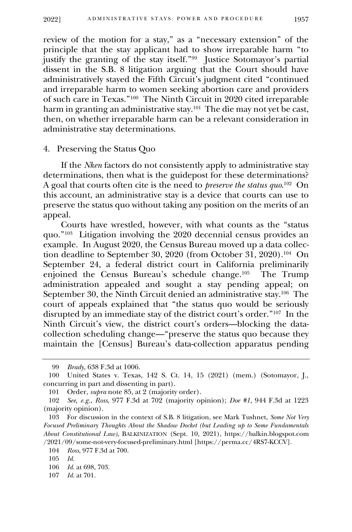review of the motion for a stay," as a "necessary extension" of the principle that the stay applicant had to show irreparable harm "to justify the granting of the stay itself."<sup>99</sup> Justice Sotomayor's partial dissent in the S.B. 8 litigation arguing that the Court should have administratively stayed the Fifth Circuit's judgment cited "continued and irreparable harm to women seeking abortion care and providers of such care in Texas."<sup>100</sup> The Ninth Circuit in 2020 cited irreparable harm in granting an administrative stay.<sup>101</sup> The die may not yet be cast, then, on whether irreparable harm can be a relevant consideration in administrative stay determinations.

#### 4. Preserving the Status Quo

<span id="page-16-0"></span>If the *Nken* factors do not consistently apply to administrative stay determinations, then what is the guidepost for these determinations? A goal that courts often cite is the need to *preserve the status quo*. 102 On this account, an administrative stay is a device that courts can use to preserve the status quo without taking any position on the merits of an appeal.

Courts have wrestled, however, with what counts as the "status quo."<sup>103</sup> Litigation involving the 2020 decennial census provides an example. In August 2020, the Census Bureau moved up a data collection deadline to September 30, 2020 (from October 31, 2020).<sup>104</sup> On September 24, a federal district court in California preliminarily enjoined the Census Bureau's schedule change.<sup>105</sup> The Trump administration appealed and sought a stay pending appeal; on September 30, the Ninth Circuit denied an administrative stay.<sup>106</sup> The court of appeals explained that "the status quo would be seriously disrupted by an immediate stay of the district court's order."<sup>107</sup> In the Ninth Circuit's view, the district court's orders—blocking the datacollection scheduling change—"preserve the status quo because they maintain the [Census] Bureau's data-collection apparatus pending

107 *Id.* at 701.

<sup>99</sup> *Brady*, 638 F.3d at 1006.

<sup>100</sup> United States v. Texas, 142 S. Ct. 14, 15 (2021) (mem.) (Sotomayor, J., concurring in part and dissenting in part).

<sup>101</sup> Order, *supra* note 85, at 2 (majority order).

<sup>102</sup> *See, e.g.*, *Ross*, 977 F.3d at 702 (majority opinion); *Doe #1*, 944 F.3d at 1223 (majority opinion).

<sup>103</sup> For discussion in the context of S.B. 8 litigation, see Mark Tushnet, *Some Not Very Focused Preliminary Thoughts About the Shadow Docket (but Leading up to Some Fundamentals About Constitutional Law)*, BALKINIZATION (Sept. 10, 2021), https://balkin.blogspot.com /2021/09/some-not-very-focused-preliminary.html [https://perma.cc/4RS7-KCCV].

<sup>104</sup> *Ross*, 977 F.3d at 700.

<sup>105</sup> *Id.*

<sup>106</sup> *Id.* at 698, 703.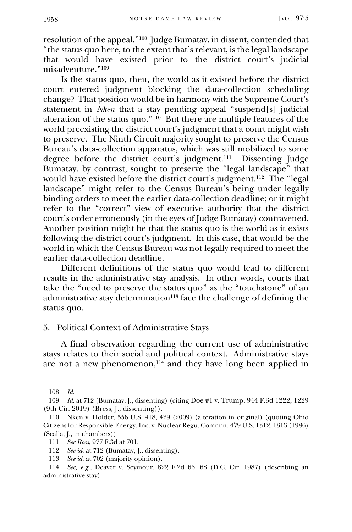resolution of the appeal."<sup>108</sup> Judge Bumatay, in dissent, contended that "the status quo here, to the extent that's relevant, is the legal landscape that would have existed prior to the district court's judicial misadventure."<sup>109</sup>

Is the status quo, then, the world as it existed before the district court entered judgment blocking the data-collection scheduling change? That position would be in harmony with the Supreme Court's statement in *Nken* that a stay pending appeal "suspend[s] judicial alteration of the status quo."<sup>110</sup> But there are multiple features of the world preexisting the district court's judgment that a court might wish to preserve. The Ninth Circuit majority sought to preserve the Census Bureau's data-collection apparatus, which was still mobilized to some degree before the district court's judgment.<sup>111</sup> Dissenting Judge Bumatay, by contrast, sought to preserve the "legal landscape" that would have existed before the district court's judgment.<sup>112</sup> The "legal landscape" might refer to the Census Bureau's being under legally binding orders to meet the earlier data-collection deadline; or it might refer to the "correct" view of executive authority that the district court's order erroneously (in the eyes of Judge Bumatay) contravened. Another position might be that the status quo is the world as it exists following the district court's judgment. In this case, that would be the world in which the Census Bureau was not legally required to meet the earlier data-collection deadline.

Different definitions of the status quo would lead to different results in the administrative stay analysis. In other words, courts that take the "need to preserve the status quo" as the "touchstone" of an administrative stay determination<sup>113</sup> face the challenge of defining the status quo.

## 5. Political Context of Administrative Stays

<span id="page-17-0"></span>A final observation regarding the current use of administrative stays relates to their social and political context. Administrative stays are not a new phenomenon,<sup>114</sup> and they have long been applied in

<sup>108</sup> *Id.*

<sup>109</sup> *Id.* at 712 (Bumatay, J., dissenting) (citing Doe #1 v. Trump, 944 F.3d 1222, 1229 (9th Cir. 2019) (Bress, J., dissenting)).

<sup>110</sup> Nken v. Holder, 556 U.S. 418, 429 (2009) (alteration in original) (quoting Ohio Citizens for Responsible Energy, Inc. v. Nuclear Regu. Comm'n, 479 U.S. 1312, 1313 (1986) (Scalia, J., in chambers)).

<sup>111</sup> *See Ross*, 977 F.3d at 701.

<sup>112</sup> *See id.* at 712 (Bumatay, J., dissenting).

<sup>113</sup> *See id.* at 702 (majority opinion).

<sup>114</sup> *See, e.g.*, Deaver v. Seymour, 822 F.2d 66, 68 (D.C. Cir. 1987) (describing an administrative stay).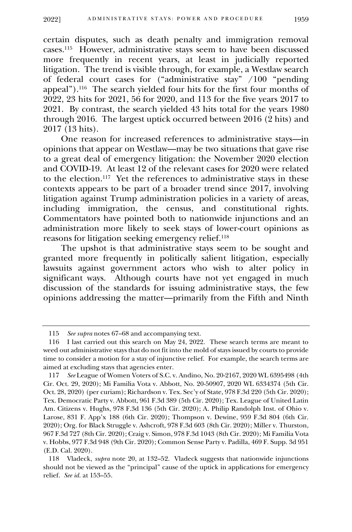certain disputes, such as death penalty and immigration removal cases.<sup>115</sup> However, administrative stays seem to have been discussed more frequently in recent years, at least in judicially reported litigation. The trend is visible through, for example, a Westlaw search of federal court cases for ("administrative stay" /100 "pending appeal").<sup>116</sup> The search yielded four hits for the first four months of 2022, 23 hits for 2021, 56 for 2020, and 113 for the five years 2017 to 2021. By contrast, the search yielded 43 hits total for the years 1980 through 2016. The largest uptick occurred between 2016 (2 hits) and 2017 (13 hits).

One reason for increased references to administrative stays—in opinions that appear on Westlaw—may be two situations that gave rise to a great deal of emergency litigation: the November 2020 election and COVID-19. At least 12 of the relevant cases for 2020 were related to the election.<sup>117</sup> Yet the references to administrative stays in these contexts appears to be part of a broader trend since 2017, involving litigation against Trump administration policies in a variety of areas, including immigration, the census, and constitutional rights. Commentators have pointed both to nationwide injunctions and an administration more likely to seek stays of lower-court opinions as reasons for litigation seeking emergency relief.<sup>118</sup>

The upshot is that administrative stays seem to be sought and granted more frequently in politically salient litigation, especially lawsuits against government actors who wish to alter policy in significant ways. Although courts have not yet engaged in much discussion of the standards for issuing administrative stays, the few opinions addressing the matter—primarily from the Fifth and Ninth

<sup>115</sup> *See supra* notes 67–68 and accompanying text.

<sup>116</sup> I last carried out this search on May 24, 2022. These search terms are meant to weed out administrative stays that do not fit into the mold of stays issued by courts to provide time to consider a motion for a stay of injunctive relief. For example, the search terms are aimed at excluding stays that agencies enter.

<sup>117</sup> *See* League of Women Voters of S.C. v. Andino, No. 20-2167, 2020 WL 6395498 (4th Cir. Oct. 29, 2020); Mi Familia Vota v. Abbott, No. 20-50907, 2020 WL 6334374 (5th Cir. Oct. 28, 2020) (per curiam); Richardson v. Tex. Sec'y of State, 978 F.3d 220 (5th Cir. 2020); Tex. Democratic Party v. Abbott, 961 F.3d 389 (5th Cir. 2020); Tex. League of United Latin Am. Citizens v. Hughs, 978 F.3d 136 (5th Cir. 2020); A. Philip Randolph Inst. of Ohio v. Larose, 831 F. App'x 188 (6th Cir. 2020); Thompson v. Dewine, 959 F.3d 804 (6th Cir. 2020); Org. for Black Struggle v. Ashcroft, 978 F.3d 603 (8th Cir. 2020); Miller v. Thurston, 967 F.3d 727 (8th Cir. 2020); Craig v. Simon, 978 F.3d 1043 (8th Cir. 2020); Mi Familia Vota v. Hobbs, 977 F.3d 948 (9th Cir. 2020); Common Sense Party v. Padilla, 469 F. Supp. 3d 951 (E.D. Cal. 2020).

<sup>118</sup> Vladeck, *supra* note 20, at 132–52. Vladeck suggests that nationwide injunctions should not be viewed as the "principal" cause of the uptick in applications for emergency relief. *See id.* at 153–55.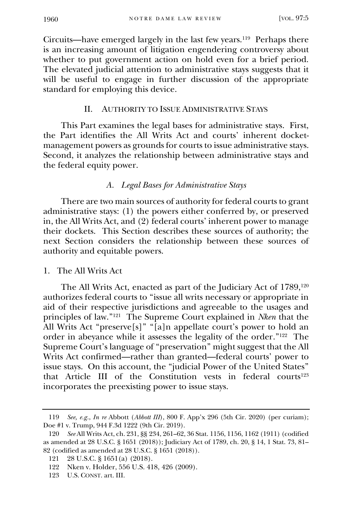Circuits—have emerged largely in the last few years.<sup>119</sup> Perhaps there is an increasing amount of litigation engendering controversy about whether to put government action on hold even for a brief period. The elevated judicial attention to administrative stays suggests that it will be useful to engage in further discussion of the appropriate standard for employing this device.

# II. AUTHORITY TO ISSUE ADMINISTRATIVE STAYS

<span id="page-19-0"></span>This Part examines the legal bases for administrative stays. First, the Part identifies the All Writs Act and courts' inherent docketmanagement powers as grounds for courts to issue administrative stays. Second, it analyzes the relationship between administrative stays and the federal equity power.

# *A. Legal Bases for Administrative Stays*

<span id="page-19-1"></span>There are two main sources of authority for federal courts to grant administrative stays: (1) the powers either conferred by, or preserved in, the All Writs Act, and (2) federal courts' inherent power to manage their dockets. This Section describes these sources of authority; the next Section considers the relationship between these sources of authority and equitable powers.

# 1. The All Writs Act

<span id="page-19-2"></span>The All Writs Act, enacted as part of the Judiciary Act of 1789,<sup>120</sup> authorizes federal courts to "issue all writs necessary or appropriate in aid of their respective jurisdictions and agreeable to the usages and principles of law."<sup>121</sup> The Supreme Court explained in *Nken* that the All Writs Act "preserve[s]" "[a]n appellate court's power to hold an order in abeyance while it assesses the legality of the order."<sup>122</sup> The Supreme Court's language of "preservation" might suggest that the All Writs Act confirmed—rather than granted—federal courts' power to issue stays. On this account, the "judicial Power of the United States" that Article III of the Constitution vests in federal courts<sup>123</sup> incorporates the preexisting power to issue stays.

<sup>119</sup> *See, e.g.*, *In re* Abbott (*Abbott III*), 800 F. App'x 296 (5th Cir. 2020) (per curiam); Doe #1 v. Trump, 944 F.3d 1222 (9th Cir. 2019).

<sup>120</sup> *See* All Writs Act, ch. 231, §§ 234, 261–62, 36 Stat. 1156, 1156, 1162 (1911) (codified as amended at 28 U.S.C. § 1651 (2018)); Judiciary Act of 1789, ch. 20, § 14, 1 Stat. 73, 81– 82 (codified as amended at 28 U.S.C. § 1651 (2018)).

<sup>121</sup> 28 U.S.C. § 1651(a) (2018).

<sup>122</sup> Nken v. Holder, 556 U.S. 418, 426 (2009).

<sup>123</sup> U.S. CONST. art. III.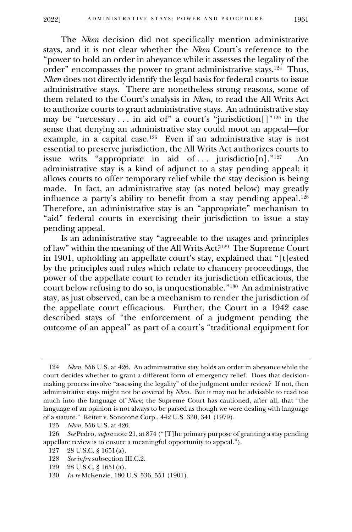The *Nken* decision did not specifically mention administrative stays, and it is not clear whether the *Nken* Court's reference to the "power to hold an order in abeyance while it assesses the legality of the order" encompasses the power to grant administrative stays.<sup>124</sup> Thus, *Nken* does not directly identify the legal basis for federal courts to issue administrative stays. There are nonetheless strong reasons, some of them related to the Court's analysis in *Nken*, to read the All Writs Act to authorize courts to grant administrative stays. An administrative stay may be "necessary . . . in aid of" a court's "jurisdiction[]" <sup>125</sup> in the sense that denying an administrative stay could moot an appeal—for example, in a capital case.<sup>126</sup> Even if an administrative stay is not essential to preserve jurisdiction, the All Writs Act authorizes courts to issue writs "appropriate in aid of ... jurisdictio[n]."<sup>127</sup> An administrative stay is a kind of adjunct to a stay pending appeal; it allows courts to offer temporary relief while the stay decision is being made. In fact, an administrative stay (as noted below) may greatly influence a party's ability to benefit from a stay pending appeal.<sup>128</sup> Therefore, an administrative stay is an "appropriate" mechanism to "aid" federal courts in exercising their jurisdiction to issue a stay pending appeal.

Is an administrative stay "agreeable to the usages and principles of law" within the meaning of the All Writs Act? 129 The Supreme Court in 1901, upholding an appellate court's stay, explained that "[t]ested by the principles and rules which relate to chancery proceedings, the power of the appellate court to render its jurisdiction efficacious, the court below refusing to do so, is unquestionable."<sup>130</sup> An administrative stay, as just observed, can be a mechanism to render the jurisdiction of the appellate court efficacious. Further, the Court in a 1942 case described stays of "the enforcement of a judgment pending the outcome of an appeal" as part of a court's "traditional equipment for

<sup>124</sup> *Nken*, 556 U.S. at 426. An administrative stay holds an order in abeyance while the court decides whether to grant a different form of emergency relief. Does that decisionmaking process involve "assessing the legality" of the judgment under review? If not, then administrative stays might not be covered by *Nken*. But it may not be advisable to read too much into the language of *Nken*; the Supreme Court has cautioned, after all, that "the language of an opinion is not always to be parsed as though we were dealing with language of a statute." Reiter v. Sonotone Corp., 442 U.S. 330, 341 (1979).

<sup>125</sup> *Nken*, 556 U.S. at 426.

<sup>126</sup> *See* Pedro, *supra* note 21, at 874 ("[T]he primary purpose of granting a stay pending appellate review is to ensure a meaningful opportunity to appeal.").

<sup>127</sup> 28 U.S.C. § 1651(a).

<sup>128</sup> *See infra* subsection III.C.2.

<sup>129</sup> 28 U.S.C. § 1651(a).

<sup>130</sup> *In re* McKenzie, 180 U.S. 536, 551 (1901).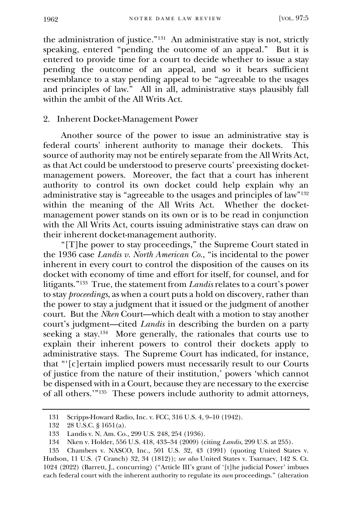the administration of justice."<sup>131</sup> An administrative stay is not, strictly speaking, entered "pending the outcome of an appeal." But it is entered to provide time for a court to decide whether to issue a stay pending the outcome of an appeal, and so it bears sufficient resemblance to a stay pending appeal to be "agreeable to the usages and principles of law." All in all, administrative stays plausibly fall within the ambit of the All Writs Act.

## 2. Inherent Docket-Management Power

<span id="page-21-0"></span>Another source of the power to issue an administrative stay is federal courts' inherent authority to manage their dockets. This source of authority may not be entirely separate from the All Writs Act, as that Act could be understood to preserve courts' preexisting docketmanagement powers. Moreover, the fact that a court has inherent authority to control its own docket could help explain why an administrative stay is "agreeable to the usages and principles of law"<sup>132</sup> within the meaning of the All Writs Act. Whether the docketmanagement power stands on its own or is to be read in conjunction with the All Writs Act, courts issuing administrative stays can draw on their inherent docket-management authority.

"[T]he power to stay proceedings," the Supreme Court stated in the 1936 case *Landis v. North American Co.*, "is incidental to the power inherent in every court to control the disposition of the causes on its docket with economy of time and effort for itself, for counsel, and for litigants." 133 True, the statement from *Landis* relates to a court's power to stay *proceedings*, as when a court puts a hold on discovery, rather than the power to stay a judgment that it issued or the judgment of another court. But the *Nken* Court—which dealt with a motion to stay another court's judgment—cited *Landis* in describing the burden on a party seeking a stay.<sup>134</sup> More generally, the rationales that courts use to explain their inherent powers to control their dockets apply to administrative stays. The Supreme Court has indicated, for instance, that "'[c]ertain implied powers must necessarily result to our Courts of justice from the nature of their institution,' powers 'which cannot be dispensed with in a Court, because they are necessary to the exercise of all others.'"<sup>135</sup> These powers include authority to admit attorneys,

<sup>131</sup> Scripps-Howard Radio, Inc. v. FCC, 316 U.S. 4, 9–10 (1942).

<sup>132</sup> 28 U.S.C. § 1651(a).

<sup>133</sup> Landis v. N. Am. Co., 299 U.S. 248, 254 (1936).

<sup>134</sup> Nken v. Holder, 556 U.S. 418, 433–34 (2009) (citing *Landis*, 299 U.S. at 255).

<sup>135</sup> Chambers v. NASCO, Inc., 501 U.S. 32, 43 (1991) (quoting United States v. Hudson, 11 U.S. (7 Cranch) 32, 34 (1812)); *see also* United States v. Tsarnaev, 142 S. Ct. 1024 (2022) (Barrett, J., concurring) ("Article III's grant of '[t]he judicial Power' imbues each federal court with the inherent authority to regulate its *own* proceedings." (alteration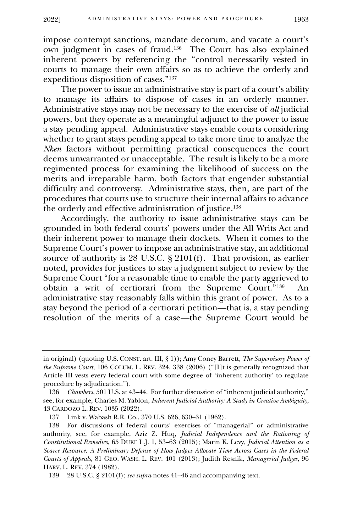impose contempt sanctions, mandate decorum, and vacate a court's own judgment in cases of fraud.<sup>136</sup> The Court has also explained inherent powers by referencing the "control necessarily vested in courts to manage their own affairs so as to achieve the orderly and expeditious disposition of cases."<sup>137</sup>

The power to issue an administrative stay is part of a court's ability to manage its affairs to dispose of cases in an orderly manner. Administrative stays may not be necessary to the exercise of *all* judicial powers, but they operate as a meaningful adjunct to the power to issue a stay pending appeal. Administrative stays enable courts considering whether to grant stays pending appeal to take more time to analyze the *Nken* factors without permitting practical consequences the court deems unwarranted or unacceptable. The result is likely to be a more regimented process for examining the likelihood of success on the merits and irreparable harm, both factors that engender substantial difficulty and controversy. Administrative stays, then, are part of the procedures that courts use to structure their internal affairs to advance the orderly and effective administration of justice.<sup>138</sup>

Accordingly, the authority to issue administrative stays can be grounded in both federal courts' powers under the All Writs Act and their inherent power to manage their dockets. When it comes to the Supreme Court's power to impose an administrative stay, an additional source of authority is 28 U.S.C. § 2101(f). That provision, as earlier noted, provides for justices to stay a judgment subject to review by the Supreme Court "for a reasonable time to enable the party aggrieved to obtain a writ of certiorari from the Supreme Court."<sup>139</sup> An administrative stay reasonably falls within this grant of power. As to a stay beyond the period of a certiorari petition—that is, a stay pending resolution of the merits of a case—the Supreme Court would be

in original) (quoting U.S. CONST. art. III, § 1)); Amy Coney Barrett, *The Supervisory Power of the Supreme Court*, 106 COLUM. L. REV. 324, 338 (2006) ("[I]t is generally recognized that Article III vests every federal court with some degree of 'inherent authority' to regulate procedure by adjudication.").

<sup>136</sup> *Chambers*, 501 U.S. at 43–44. For further discussion of "inherent judicial authority," see, for example, Charles M. Yablon, *Inherent Judicial Authority: A Study in Creative Ambiguity*, 43 CARDOZO L. REV. 1035 (2022).

<sup>137</sup> Link v. Wabash R.R. Co., 370 U.S. 626, 630–31 (1962).

<sup>138</sup> For discussions of federal courts' exercises of "managerial" or administrative authority, see, for example, Aziz Z. Huq, *Judicial Independence and the Rationing of Constitutional Remedies*, 65 DUKE L.J. 1, 53–63 (2015); Marin K. Levy, *Judicial Attention as a Scarce Resource: A Preliminary Defense of How Judges Allocate Time Across Cases in the Federal Courts of Appeals*, 81 GEO. WASH. L. REV. 401 (2013); Judith Resnik, *Managerial Judges*, 96 HARV. L. REV. 374 (1982).

<sup>139</sup> 28 U.S.C. § 2101(f); *see supra* notes 41–46 and accompanying text.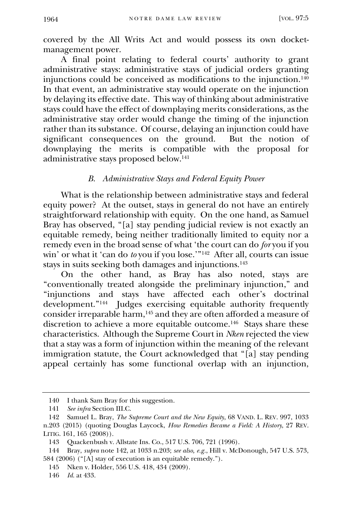covered by the All Writs Act and would possess its own docketmanagement power.

A final point relating to federal courts' authority to grant administrative stays: administrative stays of judicial orders granting injunctions could be conceived as modifications to the injunction.<sup>140</sup> In that event, an administrative stay would operate on the injunction by delaying its effective date. This way of thinking about administrative stays could have the effect of downplaying merits considerations, as the administrative stay order would change the timing of the injunction rather than its substance. Of course, delaying an injunction could have significant consequences on the ground. But the notion of downplaying the merits is compatible with the proposal for administrative stays proposed below. 141

## *B. Administrative Stays and Federal Equity Power*

<span id="page-23-0"></span>What is the relationship between administrative stays and federal equity power? At the outset, stays in general do not have an entirely straightforward relationship with equity. On the one hand, as Samuel Bray has observed, "[a] stay pending judicial review is not exactly an equitable remedy, being neither traditionally limited to equity nor a remedy even in the broad sense of what 'the court can do *for* you if you win' or what it 'can do *to* you if you lose.'"<sup>142</sup> After all, courts can issue stays in suits seeking both damages and injunctions.<sup>143</sup>

On the other hand, as Bray has also noted, stays are "conventionally treated alongside the preliminary injunction," and "injunctions and stays have affected each other's doctrinal development."<sup>144</sup> Judges exercising equitable authority frequently consider irreparable harm,<sup>145</sup> and they are often afforded a measure of discretion to achieve a more equitable outcome.<sup>146</sup> Stays share these characteristics. Although the Supreme Court in *Nken* rejected the view that a stay was a form of injunction within the meaning of the relevant immigration statute, the Court acknowledged that "[a] stay pending appeal certainly has some functional overlap with an injunction,

<sup>140</sup> I thank Sam Bray for this suggestion.

<sup>141</sup> *See infra* Section III.C.

<sup>142</sup> Samuel L. Bray, *The Supreme Court and the New Equity*, 68 VAND. L. REV. 997, 1033 n.203 (2015) (quoting Douglas Laycock, *How Remedies Became a Field: A History*, 27 REV. LITIG. 161, 165 (2008)).

<sup>143</sup> Quackenbush v. Allstate Ins. Co., 517 U.S. 706, 721 (1996).

<sup>144</sup> Bray, *supra* note 142, at 1033 n.203; *see also, e.g.*, Hill v. McDonough, 547 U.S. 573, 584 (2006) ("[A] stay of execution is an equitable remedy.").

<sup>145</sup> Nken v. Holder, 556 U.S. 418, 434 (2009).

<sup>146</sup> *Id.* at 433.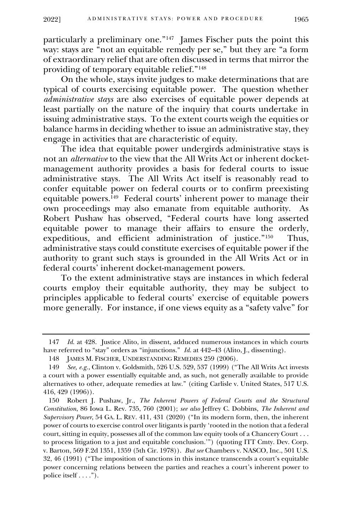particularly a preliminary one."<sup>147</sup> James Fischer puts the point this way: stays are "not an equitable remedy per se," but they are "a form of extraordinary relief that are often discussed in terms that mirror the providing of temporary equitable relief."<sup>148</sup>

On the whole, stays invite judges to make determinations that are typical of courts exercising equitable power. The question whether *administrative stays* are also exercises of equitable power depends at least partially on the nature of the inquiry that courts undertake in issuing administrative stays. To the extent courts weigh the equities or balance harms in deciding whether to issue an administrative stay, they engage in activities that are characteristic of equity.

The idea that equitable power undergirds administrative stays is not an *alternative* to the view that the All Writs Act or inherent docketmanagement authority provides a basis for federal courts to issue administrative stays. The All Writs Act itself is reasonably read to confer equitable power on federal courts or to confirm preexisting equitable powers.<sup>149</sup> Federal courts' inherent power to manage their own proceedings may also emanate from equitable authority. As Robert Pushaw has observed, "Federal courts have long asserted equitable power to manage their affairs to ensure the orderly, expeditious, and efficient administration of justice."<sup>150</sup> Thus, administrative stays could constitute exercises of equitable power if the authority to grant such stays is grounded in the All Writs Act or in federal courts' inherent docket-management powers.

To the extent administrative stays are instances in which federal courts employ their equitable authority, they may be subject to principles applicable to federal courts' exercise of equitable powers more generally. For instance, if one views equity as a "safety valve" for

<sup>147</sup> *Id.* at 428. Justice Alito, in dissent, adduced numerous instances in which courts have referred to "stay" orders as "injunctions." *Id.* at 442-43 (Alito, J., dissenting).

<sup>148</sup> JAMES M. FISCHER, UNDERSTANDING REMEDIES 259 (2006).

<sup>149</sup> *See, e.g.*, Clinton v. Goldsmith, 526 U.S. 529, 537 (1999) ("The All Writs Act invests a court with a power essentially equitable and, as such, not generally available to provide alternatives to other, adequate remedies at law." (citing Carlisle v. United States, 517 U.S. 416, 429 (1996)).

<sup>150</sup> Robert J. Pushaw, Jr., *The Inherent Powers of Federal Courts and the Structural Constitution*, 86 Iowa L. Rev. 735, 760 (2001); *see also* Jeffrey C. Dobbins, *The Inherent and Supervisory Power*, 54 GA. L. REV. 411, 431 (2020) ("In its modern form, then, the inherent power of courts to exercise control over litigants is partly 'rooted in the notion that a federal court, sitting in equity, possesses all of the common law equity tools of a Chancery Court . . . to process litigation to a just and equitable conclusion.'") (quoting ITT Cmty. Dev. Corp. v. Barton, 569 F.2d 1351, 1359 (5th Cir. 1978)). *But see* Chambers v. NASCO, Inc., 501 U.S. 32, 46 (1991) ("The imposition of sanctions in this instance transcends a court's equitable power concerning relations between the parties and reaches a court's inherent power to police itself . . . .").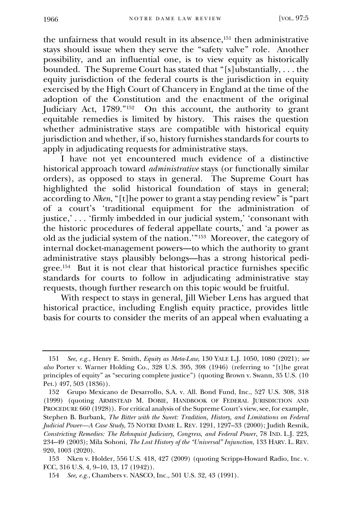the unfairness that would result in its absence,<sup>151</sup> then administrative stays should issue when they serve the "safety valve" role. Another possibility, and an influential one, is to view equity as historically bounded. The Supreme Court has stated that "[s]ubstantially, ... the equity jurisdiction of the federal courts is the jurisdiction in equity exercised by the High Court of Chancery in England at the time of the adoption of the Constitution and the enactment of the original Judiciary Act, 1789."<sup>152</sup> On this account, the authority to grant equitable remedies is limited by history. This raises the question whether administrative stays are compatible with historical equity jurisdiction and whether, if so, history furnishes standards for courts to apply in adjudicating requests for administrative stays.

I have not yet encountered much evidence of a distinctive historical approach toward *administrative* stays (or functionally similar orders), as opposed to stays in general. The Supreme Court has highlighted the solid historical foundation of stays in general; according to *Nken*, "[t]he power to grant a stay pending review" is "part of a court's 'traditional equipment for the administration of justice,' . . . 'firmly imbedded in our judicial system,' 'consonant with the historic procedures of federal appellate courts,' and 'a power as old as the judicial system of the nation.'" 153 Moreover, the category of internal docket-management powers—to which the authority to grant administrative stays plausibly belongs—has a strong historical pedigree.<sup>154</sup> But it is not clear that historical practice furnishes specific standards for courts to follow in adjudicating administrative stay requests, though further research on this topic would be fruitful.

With respect to stays in general, Jill Wieber Lens has argued that historical practice, including English equity practice, provides little basis for courts to consider the merits of an appeal when evaluating a

<sup>151</sup> *See, e.g.*, Henry E. Smith, *Equity as Meta-Law*, 130 YALE L.J. 1050, 1080 (2021); *see also* Porter v. Warner Holding Co., 328 U.S. 395, 398 (1946) (referring to "[t]he great principles of equity" as "securing complete justice") (quoting Brown v. Swann, 35 U.S. (10 Pet.) 497, 503 (1836)).

<sup>152</sup> Grupo Mexicano de Desarrollo, S.A. v. All. Bond Fund, Inc., 527 U.S. 308, 318 (1999) (quoting ARMISTEAD M. DOBIE, HANDBOOK OF FEDERAL JURISDICTION AND PROCEDURE 660 (1928)). For critical analysis of the Supreme Court's view, see, for example, Stephen B. Burbank, *The Bitter with the Sweet: Tradition, History, and Limitations on Federal Judicial Power—A Case Study*, 75 NOTRE DAME L. REV. 1291, 1297–33 (2000); Judith Resnik, *Constricting Remedies: The Rehnquist Judiciary, Congress, and Federal Power*, 78 IND. L.J. 223, 234–49 (2003); Mila Sohoni, *The Lost History of the "Universal" Injunction*, 133 HARV. L. REV. 920, 1003 (2020).

<sup>153</sup> Nken v. Holder, 556 U.S. 418, 427 (2009) (quoting Scripps-Howard Radio, Inc. v. FCC, 316 U.S. 4, 9–10, 13, 17 (1942)).

<sup>154</sup> *See, e.g.*, Chambers v. NASCO, Inc., 501 U.S. 32, 43 (1991).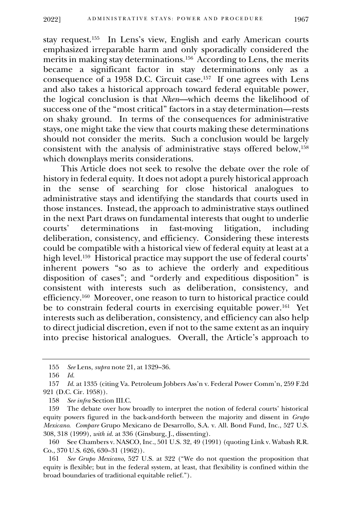stay request.<sup>155</sup> In Lens's view, English and early American courts emphasized irreparable harm and only sporadically considered the merits in making stay determinations.<sup>156</sup> According to Lens, the merits became a significant factor in stay determinations only as a consequence of a 1958 D.C. Circuit case.<sup>157</sup> If one agrees with Lens and also takes a historical approach toward federal equitable power, the logical conclusion is that *Nken*—which deems the likelihood of success one of the "most critical" factors in a stay determination—rests on shaky ground. In terms of the consequences for administrative stays, one might take the view that courts making these determinations should not consider the merits. Such a conclusion would be largely consistent with the analysis of administrative stays offered below,<sup>158</sup> which downplays merits considerations.

This Article does not seek to resolve the debate over the role of history in federal equity. It does not adopt a purely historical approach in the sense of searching for close historical analogues to administrative stays and identifying the standards that courts used in those instances. Instead, the approach to administrative stays outlined in the next Part draws on fundamental interests that ought to underlie<br>courts' determinations in fast-moving litigation, including courts' determinations in fast-moving litigation, including deliberation, consistency, and efficiency. Considering these interests could be compatible with a historical view of federal equity at least at a high level.<sup>159</sup> Historical practice may support the use of federal courts' inherent powers "so as to achieve the orderly and expeditious disposition of cases"; and "orderly and expeditious disposition" is consistent with interests such as deliberation, consistency, and efficiency. 160 Moreover, one reason to turn to historical practice could be to constrain federal courts in exercising equitable power.<sup>161</sup> Yet interests such as deliberation, consistency, and efficiency can also help to direct judicial discretion, even if not to the same extent as an inquiry into precise historical analogues. Overall, the Article's approach to

160 See Chambers v. NASCO, Inc., 501 U.S. 32, 49 (1991) (quoting Link v. Wabash R.R. Co., 370 U.S. 626, 630–31 (1962)).

161 *See Grupo Mexicano*, 527 U.S. at 322 ("We do not question the proposition that equity is flexible; but in the federal system, at least, that flexibility is confined within the broad boundaries of traditional equitable relief.").

<sup>155</sup> *See* Lens, *supra* note 21, at 1329–36.

<sup>156</sup> *Id.*

<sup>157</sup> *Id.* at 1335 (citing Va. Petroleum Jobbers Ass'n v. Federal Power Comm'n, 259 F.2d 921 (D.C. Cir. 1958)).

<sup>158</sup> *See infra* Section III.C.

<sup>159</sup> The debate over how broadly to interpret the notion of federal courts' historical equity powers figured in the back-and-forth between the majority and dissent in *Grupo Mexicano*. *Compare* Grupo Mexicano de Desarrollo, S.A. v. All. Bond Fund, Inc., 527 U.S. 308, 318 (1999), *with id.* at 336 (Ginsburg, J., dissenting).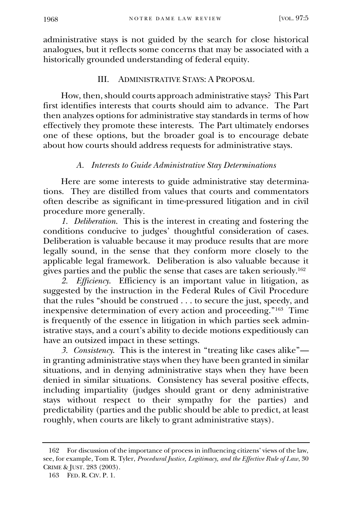administrative stays is not guided by the search for close historical analogues, but it reflects some concerns that may be associated with a historically grounded understanding of federal equity.

# III. ADMINISTRATIVE STAYS: A PROPOSAL

<span id="page-27-0"></span>How, then, should courts approach administrative stays? This Part first identifies interests that courts should aim to advance. The Part then analyzes options for administrative stay standards in terms of how effectively they promote these interests. The Part ultimately endorses one of these options, but the broader goal is to encourage debate about how courts should address requests for administrative stays.

## *A. Interests to Guide Administrative Stay Determinations*

Here are some interests to guide administrative stay determinations. They are distilled from values that courts and commentators often describe as significant in time-pressured litigation and in civil procedure more generally.

<span id="page-27-1"></span>*1. Deliberation*. This is the interest in creating and fostering the conditions conducive to judges' thoughtful consideration of cases. Deliberation is valuable because it may produce results that are more legally sound, in the sense that they conform more closely to the applicable legal framework. Deliberation is also valuable because it gives parties and the public the sense that cases are taken seriously.<sup>162</sup>

*2. Efficiency*. Efficiency is an important value in litigation, as suggested by the instruction in the Federal Rules of Civil Procedure that the rules "should be construed . . . to secure the just, speedy, and inexpensive determination of every action and proceeding."<sup>163</sup> Time is frequently of the essence in litigation in which parties seek administrative stays, and a court's ability to decide motions expeditiously can have an outsized impact in these settings.

*3. Consistency*. This is the interest in "treating like cases alike" in granting administrative stays when they have been granted in similar situations, and in denying administrative stays when they have been denied in similar situations. Consistency has several positive effects, including impartiality (judges should grant or deny administrative stays without respect to their sympathy for the parties) and predictability (parties and the public should be able to predict, at least roughly, when courts are likely to grant administrative stays).

<sup>162</sup> For discussion of the importance of process in influencing citizens' views of the law, see, for example, Tom R. Tyler, *Procedural Justice, Legitimacy, and the Effective Rule of Law*, 30 CRIME & JUST. 283 (2003).

<sup>163</sup> FED. R. CIV. P. 1.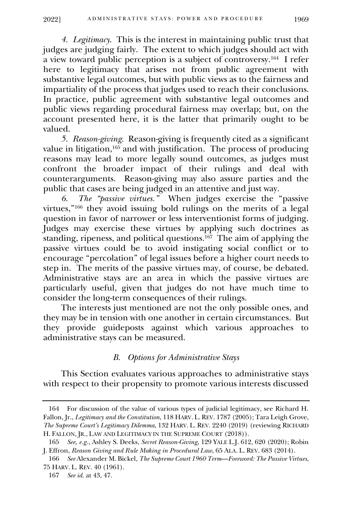*4. Legitimacy*. This is the interest in maintaining public trust that judges are judging fairly. The extent to which judges should act with a view toward public perception is a subject of controversy.<sup>164</sup> I refer here to legitimacy that arises not from public agreement with substantive legal outcomes, but with public views as to the fairness and impartiality of the process that judges used to reach their conclusions. In practice, public agreement with substantive legal outcomes and public views regarding procedural fairness may overlap; but, on the account presented here, it is the latter that primarily ought to be valued.

*5. Reason-giving*. Reason-giving is frequently cited as a significant value in litigation,<sup>165</sup> and with justification. The process of producing reasons may lead to more legally sound outcomes, as judges must confront the broader impact of their rulings and deal with counterarguments. Reason-giving may also assure parties and the public that cases are being judged in an attentive and just way.

*6. The "passive virtues."* When judges exercise the "passive virtues,"<sup>166</sup> they avoid issuing bold rulings on the merits of a legal question in favor of narrower or less interventionist forms of judging. Judges may exercise these virtues by applying such doctrines as standing, ripeness, and political questions. 167 The aim of applying the passive virtues could be to avoid instigating social conflict or to encourage "percolation" of legal issues before a higher court needs to step in. The merits of the passive virtues may, of course, be debated. Administrative stays are an area in which the passive virtues are particularly useful, given that judges do not have much time to consider the long-term consequences of their rulings.

The interests just mentioned are not the only possible ones, and they may be in tension with one another in certain circumstances. But they provide guideposts against which various approaches to administrative stays can be measured.

## *B. Options for Administrative Stays*

This Section evaluates various approaches to administrative stays with respect to their propensity to promote various interests discussed

<span id="page-28-0"></span><sup>164</sup> For discussion of the value of various types of judicial legitimacy, see Richard H. Fallon, Jr., *Legitimacy and the Constitution*, 118 HARV. L. REV. 1787 (2005); Tara Leigh Grove, *The Supreme Court's Legitimacy Dilemma*, 132 HARV. L. REV. 2240 (2019) (reviewing RICHARD H. FALLON, JR., LAW AND LEGITIMACY IN THE SUPREME COURT  $(2018)$ ).

<sup>165</sup> *See, e.g.*, Ashley S. Deeks, *Secret Reason-Giving*, 129 YALE L.J. 612, 620 (2020); Robin J. Effron, *Reason Giving and Rule Making in Procedural Law*, 65 ALA. L. REV. 683 (2014).

<sup>166</sup> *See* Alexander M. Bickel, *The Supreme Court 1960 Term*—*Foreword: The Passive Virtues*, 75 HARV. L. REV. 40 (1961).

<sup>167</sup> *See id.* at 43, 47.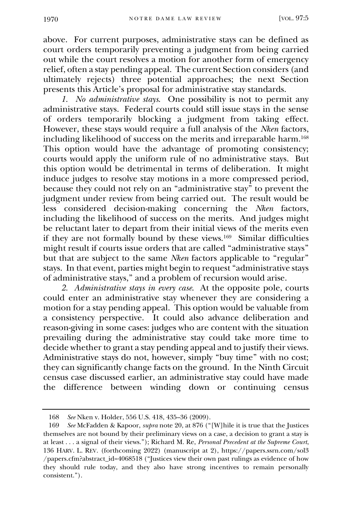above. For current purposes, administrative stays can be defined as court orders temporarily preventing a judgment from being carried out while the court resolves a motion for another form of emergency relief, often a stay pending appeal. The current Section considers (and ultimately rejects) three potential approaches; the next Section presents this Article's proposal for administrative stay standards.

*1. No administrative stays*. One possibility is not to permit any administrative stays. Federal courts could still issue stays in the sense of orders temporarily blocking a judgment from taking effect. However, these stays would require a full analysis of the *Nken* factors, including likelihood of success on the merits and irreparable harm.<sup>168</sup> This option would have the advantage of promoting consistency; courts would apply the uniform rule of no administrative stays. But this option would be detrimental in terms of deliberation. It might induce judges to resolve stay motions in a more compressed period, because they could not rely on an "administrative stay" to prevent the judgment under review from being carried out. The result would be less considered decision-making concerning the *Nken* factors, including the likelihood of success on the merits. And judges might be reluctant later to depart from their initial views of the merits even if they are not formally bound by these views.<sup>169</sup> Similar difficulties might result if courts issue orders that are called "administrative stays" but that are subject to the same *Nken* factors applicable to "regular" stays. In that event, parties might begin to request "administrative stays of administrative stays," and a problem of recursion would arise.

*2. Administrative stays in every case*.At the opposite pole, courts could enter an administrative stay whenever they are considering a motion for a stay pending appeal. This option would be valuable from a consistency perspective. It could also advance deliberation and reason-giving in some cases: judges who are content with the situation prevailing during the administrative stay could take more time to decide whether to grant a stay pending appeal and to justify their views. Administrative stays do not, however, simply "buy time" with no cost; they can significantly change facts on the ground. In the Ninth Circuit census case discussed earlier, an administrative stay could have made the difference between winding down or continuing census

<sup>168</sup> *See* Nken v. Holder, 556 U.S. 418, 435–36 (2009).

<sup>169</sup> *See* McFadden & Kapoor, *supra* note 20, at 876 ("[W]hile it is true that the Justices themselves are not bound by their preliminary views on a case, a decision to grant a stay is at least . . . a signal of their views."); Richard M. Re, *Personal Precedent at the Supreme Court*, 136 HARV. L. REV. (forthcoming 2022) (manuscript at 2), https://papers.ssrn.com/sol3 /papers.cfm?abstract\_id=4068518 ("Justices view their own past rulings as evidence of how they should rule today, and they also have strong incentives to remain personally consistent.").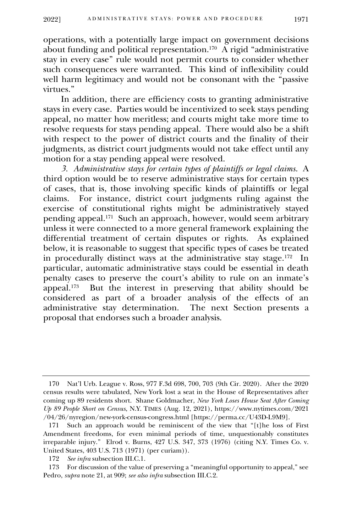operations, with a potentially large impact on government decisions about funding and political representation.<sup>170</sup> A rigid "administrative stay in every case" rule would not permit courts to consider whether such consequences were warranted. This kind of inflexibility could well harm legitimacy and would not be consonant with the "passive virtues."

In addition, there are efficiency costs to granting administrative stays in every case. Parties would be incentivized to seek stays pending appeal, no matter how meritless; and courts might take more time to resolve requests for stays pending appeal. There would also be a shift with respect to the power of district courts and the finality of their judgments, as district court judgments would not take effect until any motion for a stay pending appeal were resolved.

*3. Administrative stays for certain types of plaintiffs or legal claims*. A third option would be to reserve administrative stays for certain types of cases, that is, those involving specific kinds of plaintiffs or legal claims. For instance, district court judgments ruling against the exercise of constitutional rights might be administratively stayed pending appeal.<sup>171</sup> Such an approach, however, would seem arbitrary unless it were connected to a more general framework explaining the differential treatment of certain disputes or rights. As explained below, it is reasonable to suggest that specific types of cases be treated in procedurally distinct ways at the administrative stay stage.<sup>172</sup> In particular, automatic administrative stays could be essential in death penalty cases to preserve the court's ability to rule on an inmate's appeal.<sup>173</sup> But the interest in preserving that ability should be considered as part of a broader analysis of the effects of an administrative stay determination. The next Section presents a proposal that endorses such a broader analysis.

<sup>170</sup> Nat'l Urb. League v. Ross, 977 F.3d 698, 700, 703 (9th Cir. 2020). After the 2020 census results were tabulated, New York lost a seat in the House of Representatives after coming up 89 residents short. Shane Goldmacher, *New York Loses House Seat After Coming Up 89 People Short on Census*, N.Y. TIMES (Aug. 12, 2021), https://www.nytimes.com/2021 /04/26/nyregion/new-york-census-congress.html [https://perma.cc/U43D-L9M9].

<sup>171</sup> Such an approach would be reminiscent of the view that "[t]he loss of First Amendment freedoms, for even minimal periods of time, unquestionably constitutes irreparable injury." Elrod v. Burns, 427 U.S. 347, 373 (1976) (citing N.Y. Times Co. v. United States, 403 U.S. 713 (1971) (per curiam)).

<sup>172</sup> *See infra* subsection III.C.1.

<sup>173</sup> For discussion of the value of preserving a "meaningful opportunity to appeal," see Pedro, *supra* note 21, at 909; *see also infra* subsection III.C.2.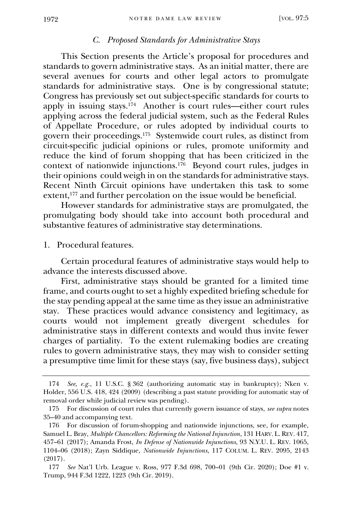#### *C. Proposed Standards for Administrative Stays*

<span id="page-31-0"></span>This Section presents the Article's proposal for procedures and standards to govern administrative stays. As an initial matter, there are several avenues for courts and other legal actors to promulgate standards for administrative stays. One is by congressional statute; Congress has previously set out subject-specific standards for courts to apply in issuing stays.<sup>174</sup> Another is court rules—either court rules applying across the federal judicial system, such as the Federal Rules of Appellate Procedure, or rules adopted by individual courts to govern their proceedings.<sup>175</sup> Systemwide court rules, as distinct from circuit-specific judicial opinions or rules, promote uniformity and reduce the kind of forum shopping that has been criticized in the context of nationwide injunctions.<sup>176</sup> Beyond court rules, judges in their opinions could weigh in on the standards for administrative stays. Recent Ninth Circuit opinions have undertaken this task to some extent,<sup>177</sup> and further percolation on the issue would be beneficial.

However standards for administrative stays are promulgated, the promulgating body should take into account both procedural and substantive features of administrative stay determinations.

#### 1. Procedural features.

Certain procedural features of administrative stays would help to advance the interests discussed above.

<span id="page-31-1"></span>First, administrative stays should be granted for a limited time frame, and courts ought to set a highly expedited briefing schedule for the stay pending appeal at the same time as they issue an administrative stay. These practices would advance consistency and legitimacy, as courts would not implement greatly divergent schedules for administrative stays in different contexts and would thus invite fewer charges of partiality. To the extent rulemaking bodies are creating rules to govern administrative stays, they may wish to consider setting a presumptive time limit for these stays (say, five business days), subject

<sup>174</sup> *See, e.g.*, 11 U.S.C. § 362 (authorizing automatic stay in bankruptcy); Nken v. Holder, 556 U.S. 418, 424 (2009) (describing a past statute providing for automatic stay of removal order while judicial review was pending).

<sup>175</sup> For discussion of court rules that currently govern issuance of stays, *see supra* notes 35–40 and accompanying text.

<sup>176</sup> For discussion of forum-shopping and nationwide injunctions, see, for example, Samuel L. Bray, *Multiple Chancellors: Reforming the National Injunction*, 131 HARV. L.REV. 417, 457–61 (2017); Amanda Frost, *In Defense of Nationwide Injunctions*, 93 N.Y.U. L. REV. 1065, 1104–06 (2018); Zayn Siddique, *Nationwide Injunctions*, 117 COLUM. L. REV. 2095, 2143 (2017).

<sup>177</sup> *See* Nat'l Urb. League v. Ross, 977 F.3d 698, 700–01 (9th Cir. 2020); Doe #1 v. Trump, 944 F.3d 1222, 1223 (9th Cir. 2019).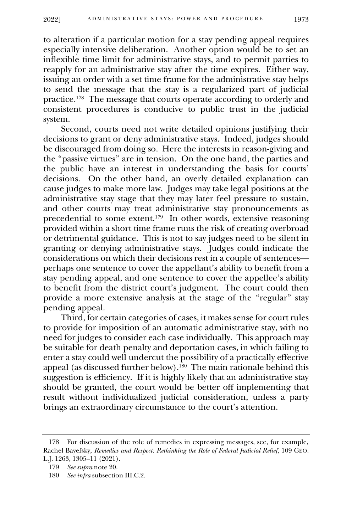to alteration if a particular motion for a stay pending appeal requires especially intensive deliberation. Another option would be to set an inflexible time limit for administrative stays, and to permit parties to reapply for an administrative stay after the time expires. Either way, issuing an order with a set time frame for the administrative stay helps to send the message that the stay is a regularized part of judicial practice.<sup>178</sup> The message that courts operate according to orderly and consistent procedures is conducive to public trust in the judicial system.

Second, courts need not write detailed opinions justifying their decisions to grant or deny administrative stays. Indeed, judges should be discouraged from doing so. Here the interests in reason-giving and the "passive virtues" are in tension. On the one hand, the parties and the public have an interest in understanding the basis for courts' decisions. On the other hand, an overly detailed explanation can cause judges to make more law. Judges may take legal positions at the administrative stay stage that they may later feel pressure to sustain, and other courts may treat administrative stay pronouncements as precedential to some extent. 179 In other words, extensive reasoning provided within a short time frame runs the risk of creating overbroad or detrimental guidance. This is not to say judges need to be silent in granting or denying administrative stays. Judges could indicate the considerations on which their decisions rest in a couple of sentences perhaps one sentence to cover the appellant's ability to benefit from a stay pending appeal, and one sentence to cover the appellee's ability to benefit from the district court's judgment. The court could then provide a more extensive analysis at the stage of the "regular" stay pending appeal.

Third, for certain categories of cases, it makes sense for court rules to provide for imposition of an automatic administrative stay, with no need for judges to consider each case individually. This approach may be suitable for death penalty and deportation cases, in which failing to enter a stay could well undercut the possibility of a practically effective appeal (as discussed further below).<sup>180</sup> The main rationale behind this suggestion is efficiency. If it is highly likely that an administrative stay should be granted, the court would be better off implementing that result without individualized judicial consideration, unless a party brings an extraordinary circumstance to the court's attention.

<sup>178</sup> For discussion of the role of remedies in expressing messages, see, for example, Rachel Bayefsky, *Remedies and Respect: Rethinking the Role of Federal Judicial Relief*, 109 GEO. L.J. 1263, 1305–11 (2021).

<sup>179</sup> *See supra* note 20.

<sup>180</sup> *See infra* subsection III.C.2.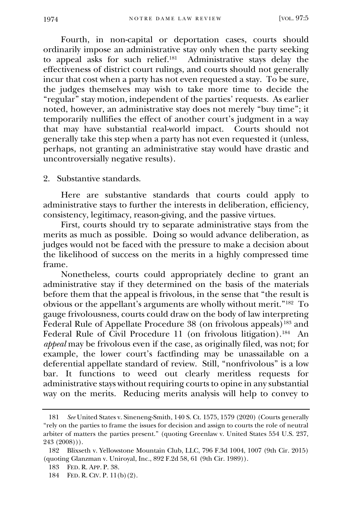Fourth, in non-capital or deportation cases, courts should ordinarily impose an administrative stay only when the party seeking to appeal asks for such relief.<sup>181</sup> Administrative stays delay the effectiveness of district court rulings, and courts should not generally incur that cost when a party has not even requested a stay. To be sure, the judges themselves may wish to take more time to decide the "regular" stay motion, independent of the parties' requests. As earlier noted, however, an administrative stay does not merely "buy time"; it temporarily nullifies the effect of another court's judgment in a way that may have substantial real-world impact. Courts should not generally take this step when a party has not even requested it (unless, perhaps, not granting an administrative stay would have drastic and uncontroversially negative results).

2. Substantive standards.

Here are substantive standards that courts could apply to administrative stays to further the interests in deliberation, efficiency, consistency, legitimacy, reason-giving, and the passive virtues.

<span id="page-33-0"></span>First, courts should try to separate administrative stays from the merits as much as possible. Doing so would advance deliberation, as judges would not be faced with the pressure to make a decision about the likelihood of success on the merits in a highly compressed time frame.

Nonetheless, courts could appropriately decline to grant an administrative stay if they determined on the basis of the materials before them that the appeal is frivolous, in the sense that "the result is obvious or the appellant's arguments are wholly without merit."<sup>182</sup> To gauge frivolousness, courts could draw on the body of law interpreting Federal Rule of Appellate Procedure 38 (on frivolous appeals)<sup>183</sup> and Federal Rule of Civil Procedure 11 (on frivolous litigation).<sup>184</sup> An *appeal* may be frivolous even if the case, as originally filed, was not; for example, the lower court's factfinding may be unassailable on a deferential appellate standard of review. Still, "nonfrivolous" is a low bar. It functions to weed out clearly meritless requests for administrative stays without requiring courts to opine in any substantial way on the merits. Reducing merits analysis will help to convey to

<sup>181</sup> *See* United States v. Sineneng-Smith, 140 S. Ct. 1575, 1579 (2020) (Courts generally "rely on the parties to frame the issues for decision and assign to courts the role of neutral arbiter of matters the parties present." (quoting Greenlaw v. United States 554 U.S. 237, 243 (2008))).

<sup>182</sup> Blixseth v. Yellowstone Mountain Club, LLC, 796 F.3d 1004, 1007 (9th Cir. 2015) (quoting Glanzman v. Uniroyal, Inc., 892 F.2d 58, 61 (9th Cir. 1989)).

<sup>183</sup> FED. R. APP. P. 38.

<sup>184</sup> FED. R. CIV. P. 11(b)(2).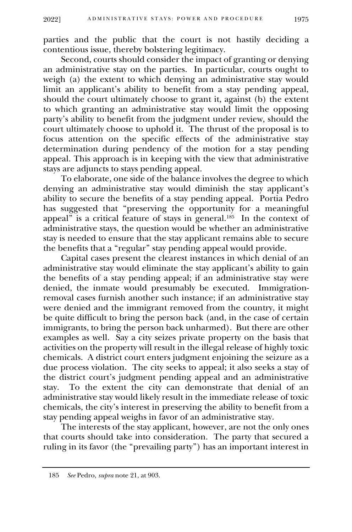parties and the public that the court is not hastily deciding a contentious issue, thereby bolstering legitimacy.

Second, courts should consider the impact of granting or denying an administrative stay on the parties. In particular, courts ought to weigh (a) the extent to which denying an administrative stay would limit an applicant's ability to benefit from a stay pending appeal, should the court ultimately choose to grant it, against (b) the extent to which granting an administrative stay would limit the opposing party's ability to benefit from the judgment under review, should the court ultimately choose to uphold it. The thrust of the proposal is to focus attention on the specific effects of the administrative stay determination during pendency of the motion for a stay pending appeal. This approach is in keeping with the view that administrative stays are adjuncts to stays pending appeal.

To elaborate, one side of the balance involves the degree to which denying an administrative stay would diminish the stay applicant's ability to secure the benefits of a stay pending appeal. Portia Pedro has suggested that "preserving the opportunity for a meaningful appeal" is a critical feature of stays in general.<sup>185</sup> In the context of administrative stays, the question would be whether an administrative stay is needed to ensure that the stay applicant remains able to secure the benefits that a "regular" stay pending appeal would provide.

Capital cases present the clearest instances in which denial of an administrative stay would eliminate the stay applicant's ability to gain the benefits of a stay pending appeal; if an administrative stay were denied, the inmate would presumably be executed. Immigrationremoval cases furnish another such instance; if an administrative stay were denied and the immigrant removed from the country, it might be quite difficult to bring the person back (and, in the case of certain immigrants, to bring the person back unharmed). But there are other examples as well. Say a city seizes private property on the basis that activities on the property will result in the illegal release of highly toxic chemicals. A district court enters judgment enjoining the seizure as a due process violation. The city seeks to appeal; it also seeks a stay of the district court's judgment pending appeal and an administrative stay. To the extent the city can demonstrate that denial of an administrative stay would likely result in the immediate release of toxic chemicals, the city's interest in preserving the ability to benefit from a stay pending appeal weighs in favor of an administrative stay.

The interests of the stay applicant, however, are not the only ones that courts should take into consideration. The party that secured a ruling in its favor (the "prevailing party") has an important interest in

<sup>185</sup> *See* Pedro, *supra* note 21, at 903.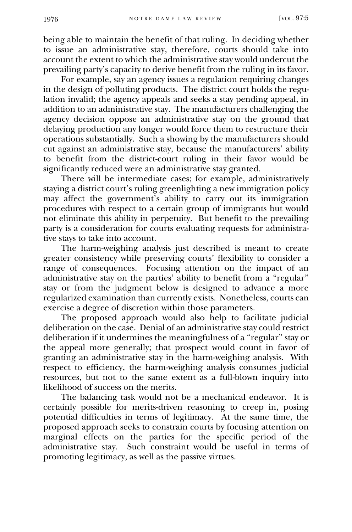being able to maintain the benefit of that ruling. In deciding whether to issue an administrative stay, therefore, courts should take into account the extent to which the administrative stay would undercut the prevailing party's capacity to derive benefit from the ruling in its favor.

For example, say an agency issues a regulation requiring changes in the design of polluting products. The district court holds the regulation invalid; the agency appeals and seeks a stay pending appeal, in addition to an administrative stay. The manufacturers challenging the agency decision oppose an administrative stay on the ground that delaying production any longer would force them to restructure their operations substantially. Such a showing by the manufacturers should cut against an administrative stay, because the manufacturers' ability to benefit from the district-court ruling in their favor would be significantly reduced were an administrative stay granted.

There will be intermediate cases; for example, administratively staying a district court's ruling greenlighting a new immigration policy may affect the government's ability to carry out its immigration procedures with respect to a certain group of immigrants but would not eliminate this ability in perpetuity. But benefit to the prevailing party is a consideration for courts evaluating requests for administrative stays to take into account.

The harm-weighing analysis just described is meant to create greater consistency while preserving courts' flexibility to consider a range of consequences. Focusing attention on the impact of an administrative stay on the parties' ability to benefit from a "regular" stay or from the judgment below is designed to advance a more regularized examination than currently exists. Nonetheless, courts can exercise a degree of discretion within those parameters.

The proposed approach would also help to facilitate judicial deliberation on the case. Denial of an administrative stay could restrict deliberation if it undermines the meaningfulness of a "regular" stay or the appeal more generally; that prospect would count in favor of granting an administrative stay in the harm-weighing analysis. With respect to efficiency, the harm-weighing analysis consumes judicial resources, but not to the same extent as a full-blown inquiry into likelihood of success on the merits.

The balancing task would not be a mechanical endeavor. It is certainly possible for merits-driven reasoning to creep in, posing potential difficulties in terms of legitimacy. At the same time, the proposed approach seeks to constrain courts by focusing attention on marginal effects on the parties for the specific period of the administrative stay. Such constraint would be useful in terms of promoting legitimacy, as well as the passive virtues.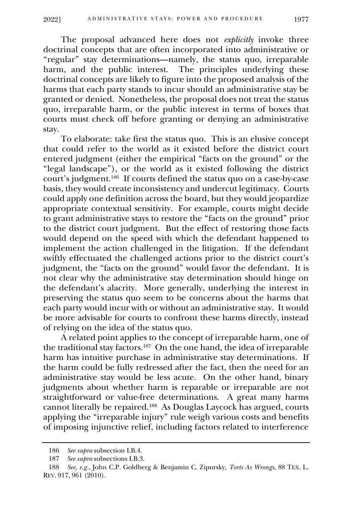The proposal advanced here does not *explicitly* invoke three doctrinal concepts that are often incorporated into administrative or "regular" stay determinations—namely, the status quo, irreparable harm, and the public interest. The principles underlying these doctrinal concepts are likely to figure into the proposed analysis of the harms that each party stands to incur should an administrative stay be granted or denied. Nonetheless, the proposal does not treat the status quo, irreparable harm, or the public interest in terms of boxes that courts must check off before granting or denying an administrative stay.

To elaborate: take first the status quo. This is an elusive concept that could refer to the world as it existed before the district court entered judgment (either the empirical "facts on the ground" or the "legal landscape"), or the world as it existed following the district court's judgment.<sup>186</sup> If courts defined the status quo on a case-by-case basis, they would create inconsistency and undercut legitimacy. Courts could apply one definition across the board, but they would jeopardize appropriate contextual sensitivity. For example, courts might decide to grant administrative stays to restore the "facts on the ground" prior to the district court judgment. But the effect of restoring those facts would depend on the speed with which the defendant happened to implement the action challenged in the litigation. If the defendant swiftly effectuated the challenged actions prior to the district court's judgment, the "facts on the ground" would favor the defendant. It is not clear why the administrative stay determination should hinge on the defendant's alacrity. More generally, underlying the interest in preserving the status quo seem to be concerns about the harms that each party would incur with or without an administrative stay. It would be more advisable for courts to confront these harms directly, instead of relying on the idea of the status quo.

A related point applies to the concept of irreparable harm, one of the traditional stay factors.<sup>187</sup> On the one hand, the idea of irreparable harm has intuitive purchase in administrative stay determinations. If the harm could be fully redressed after the fact, then the need for an administrative stay would be less acute. On the other hand, binary judgments about whether harm is reparable or irreparable are not straightforward or value-free determinations. A great many harms cannot literally be repaired.<sup>188</sup> As Douglas Laycock has argued, courts applying the "irreparable injury" rule weigh various costs and benefits of imposing injunctive relief, including factors related to interference

<sup>186</sup> *See supra* subsection I.B.4.

<sup>187</sup> *See supra* subsections I.B.3.

<sup>188</sup> *See, e.g.*, John C.P. Goldberg & Benjamin C. Zipursky, *Torts As Wrongs*, 88 TEX. L. REV. 917, 961 (2010).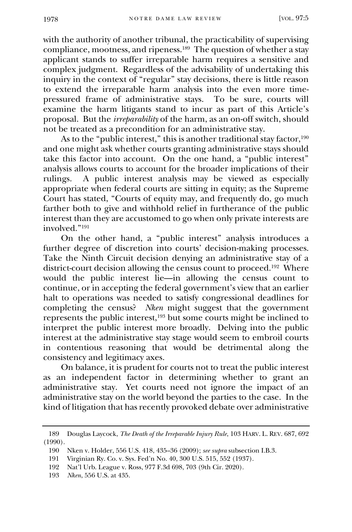with the authority of another tribunal, the practicability of supervising compliance, mootness, and ripeness.<sup>189</sup> The question of whether a stay applicant stands to suffer irreparable harm requires a sensitive and complex judgment. Regardless of the advisability of undertaking this inquiry in the context of "regular" stay decisions, there is little reason to extend the irreparable harm analysis into the even more timepressured frame of administrative stays. To be sure, courts will examine the harm litigants stand to incur as part of this Article's proposal. But the *irreparability* of the harm, as an on-off switch, should not be treated as a precondition for an administrative stay.

As to the "public interest," this is another traditional stay factor,<sup>190</sup> and one might ask whether courts granting administrative stays should take this factor into account. On the one hand, a "public interest" analysis allows courts to account for the broader implications of their rulings. A public interest analysis may be viewed as especially appropriate when federal courts are sitting in equity; as the Supreme Court has stated, "Courts of equity may, and frequently do, go much farther both to give and withhold relief in furtherance of the public interest than they are accustomed to go when only private interests are involved."<sup>191</sup>

On the other hand, a "public interest" analysis introduces a further degree of discretion into courts' decision-making processes. Take the Ninth Circuit decision denying an administrative stay of a district-court decision allowing the census count to proceed.<sup>192</sup> Where would the public interest lie—in allowing the census count to continue, or in accepting the federal government's view that an earlier halt to operations was needed to satisfy congressional deadlines for completing the census? *Nken* might suggest that the government represents the public interest,<sup>193</sup> but some courts might be inclined to interpret the public interest more broadly. Delving into the public interest at the administrative stay stage would seem to embroil courts in contentious reasoning that would be detrimental along the consistency and legitimacy axes.

On balance, it is prudent for courts not to treat the public interest as an independent factor in determining whether to grant an administrative stay. Yet courts need not ignore the impact of an administrative stay on the world beyond the parties to the case. In the kind of litigation that has recently provoked debate over administrative

<sup>189</sup> Douglas Laycock, *The Death of the Irreparable Injury Rule*, 103 HARV. L. REV. 687, 692 (1990).

<sup>190</sup> Nken v. Holder, 556 U.S. 418, 435–36 (2009); *see supra* subsection I.B.3.

<sup>191</sup> Virginian Ry. Co. v. Sys. Fed'n No. 40, 300 U.S. 515, 552 (1937).

<sup>192</sup> Nat'l Urb. League v. Ross, 977 F.3d 698, 703 (9th Cir. 2020).

<sup>193</sup> *Nken*, 556 U.S. at 435.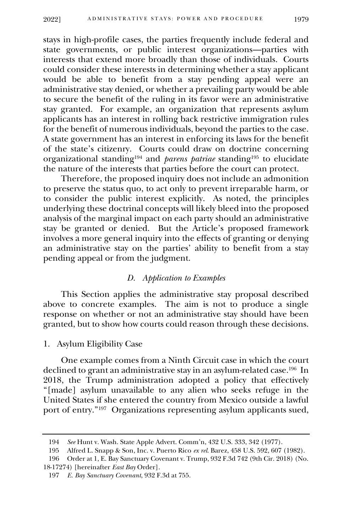stays in high-profile cases, the parties frequently include federal and state governments, or public interest organizations—parties with interests that extend more broadly than those of individuals. Courts could consider these interests in determining whether a stay applicant would be able to benefit from a stay pending appeal were an administrative stay denied, or whether a prevailing party would be able to secure the benefit of the ruling in its favor were an administrative stay granted. For example, an organization that represents asylum applicants has an interest in rolling back restrictive immigration rules for the benefit of numerous individuals, beyond the parties to the case. A state government has an interest in enforcing its laws for the benefit of the state's citizenry. Courts could draw on doctrine concerning organizational standing<sup>194</sup> and *parens patriae* standing<sup>195</sup> to elucidate the nature of the interests that parties before the court can protect.

Therefore, the proposed inquiry does not include an admonition to preserve the status quo, to act only to prevent irreparable harm, or to consider the public interest explicitly. As noted, the principles underlying these doctrinal concepts will likely bleed into the proposed analysis of the marginal impact on each party should an administrative stay be granted or denied. But the Article's proposed framework involves a more general inquiry into the effects of granting or denying an administrative stay on the parties' ability to benefit from a stay pending appeal or from the judgment.

## *D. Application to Examples*

<span id="page-38-0"></span>This Section applies the administrative stay proposal described above to concrete examples. The aim is not to produce a single response on whether or not an administrative stay should have been granted, but to show how courts could reason through these decisions.

#### 1. Asylum Eligibility Case

<span id="page-38-1"></span>One example comes from a Ninth Circuit case in which the court declined to grant an administrative stay in an asylum-related case.<sup>196</sup> In 2018, the Trump administration adopted a policy that effectively "[made] asylum unavailable to any alien who seeks refuge in the United States if she entered the country from Mexico outside a lawful port of entry."<sup>197</sup> Organizations representing asylum applicants sued,

<sup>194</sup> *See* Hunt v. Wash. State Apple Advert. Comm'n, 432 U.S. 333, 342 (1977).

<sup>195</sup> Alfred L. Snapp & Son, Inc. v. Puerto Rico *ex rel*. Barez, 458 U.S. 592, 607 (1982).

<sup>196</sup> Order at 1, E. Bay Sanctuary Covenant v. Trump, 932 F.3d 742 (9th Cir. 2018) (No. 18-17274) [hereinafter *East Bay* Order].

<sup>197</sup> *E. Bay Sanctuary Covenant*, 932 F.3d at 755.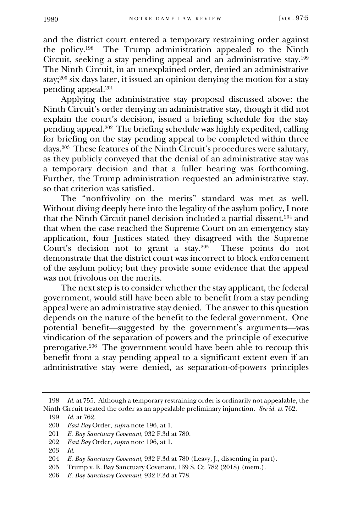and the district court entered a temporary restraining order against the policy.<sup>198</sup> The Trump administration appealed to the Ninth Circuit, seeking a stay pending appeal and an administrative stay.<sup>199</sup> The Ninth Circuit, in an unexplained order, denied an administrative stay;<sup>200</sup> six days later, it issued an opinion denying the motion for a stay pending appeal.<sup>201</sup>

Applying the administrative stay proposal discussed above: the Ninth Circuit's order denying an administrative stay, though it did not explain the court's decision, issued a briefing schedule for the stay pending appeal.<sup>202</sup> The briefing schedule was highly expedited, calling for briefing on the stay pending appeal to be completed within three days.<sup>203</sup> These features of the Ninth Circuit's procedures were salutary, as they publicly conveyed that the denial of an administrative stay was a temporary decision and that a fuller hearing was forthcoming. Further, the Trump administration requested an administrative stay, so that criterion was satisfied.

The "nonfrivolity on the merits" standard was met as well. Without diving deeply here into the legality of the asylum policy, I note that the Ninth Circuit panel decision included a partial dissent,<sup>204</sup> and that when the case reached the Supreme Court on an emergency stay application, four Justices stated they disagreed with the Supreme Court's decision not to grant a stay.<sup>205</sup> These points do not demonstrate that the district court was incorrect to block enforcement of the asylum policy; but they provide some evidence that the appeal was not frivolous on the merits.

The next step is to consider whether the stay applicant, the federal government, would still have been able to benefit from a stay pending appeal were an administrative stay denied. The answer to this question depends on the nature of the benefit to the federal government. One potential benefit—suggested by the government's arguments—was vindication of the separation of powers and the principle of executive prerogative.<sup>206</sup> The government would have been able to recoup this benefit from a stay pending appeal to a significant extent even if an administrative stay were denied, as separation-of-powers principles

- 202 *East Bay* Order, *supra* note 196, at 1.
- 203 *Id.*

<sup>198</sup> *Id.* at 755. Although a temporary restraining order is ordinarily not appealable, the Ninth Circuit treated the order as an appealable preliminary injunction. *See id.* at 762.

<sup>199</sup> *Id.* at 762.

<sup>200</sup> *East Bay* Order, *supra* note 196, at 1.

<sup>201</sup> *E. Bay Sanctuary Covenant*, 932 F.3d at 780.

<sup>204</sup> *E. Bay Sanctuary Covenant*, 932 F.3d at 780 (Leavy, J., dissenting in part).

<sup>205</sup> Trump v. E. Bay Sanctuary Covenant, 139 S. Ct. 782 (2018) (mem.).

<sup>206</sup> *E. Bay Sanctuary Covenant*, 932 F.3d at 778.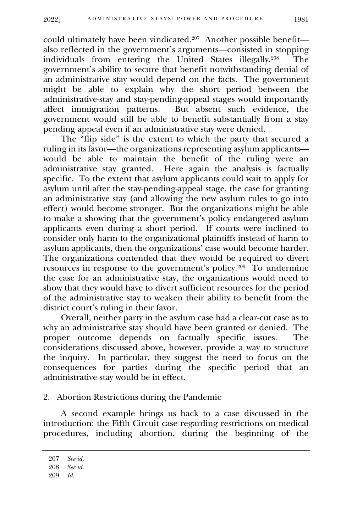could ultimately have been vindicated.<sup>207</sup> Another possible benefit also reflected in the government's arguments—consisted in stopping individuals from entering the United States illegally.<sup>208</sup> The government's ability to secure that benefit notwithstanding denial of an administrative stay would depend on the facts. The government might be able to explain why the short period between the administrative-stay and stay-pending-appeal stages would importantly affect immigration patterns. But absent such evidence, the government would still be able to benefit substantially from a stay pending appeal even if an administrative stay were denied.

The "flip side" is the extent to which the party that secured a ruling in its favor—the organizations representing asylum applicants would be able to maintain the benefit of the ruling were an administrative stay granted. Here again the analysis is factually specific. To the extent that asylum applicants could wait to apply for asylum until after the stay-pending-appeal stage, the case for granting an administrative stay (and allowing the new asylum rules to go into effect) would become stronger. But the organizations might be able to make a showing that the government's policy endangered asylum applicants even during a short period. If courts were inclined to consider only harm to the organizational plaintiffs instead of harm to asylum applicants, then the organizations' case would become harder. The organizations contended that they would be required to divert resources in response to the government's policy.<sup>209</sup> To undermine the case for an administrative stay, the organizations would need to show that they would have to divert sufficient resources for the period of the administrative stay to weaken their ability to benefit from the district court's ruling in their favor.

Overall, neither party in the asylum case had a clear-cut case as to why an administrative stay should have been granted or denied. The proper outcome depends on factually specific issues. The considerations discussed above, however, provide a way to structure the inquiry. In particular, they suggest the need to focus on the consequences for parties during the specific period that an administrative stay would be in effect.

2. Abortion Restrictions during the Pandemic

<span id="page-40-0"></span>A second example brings us back to a case discussed in the introduction: the Fifth Circuit case regarding restrictions on medical procedures, including abortion, during the beginning of the

<sup>207</sup> *See id.*

<sup>208</sup> *See id.*

<sup>209</sup> *Id*.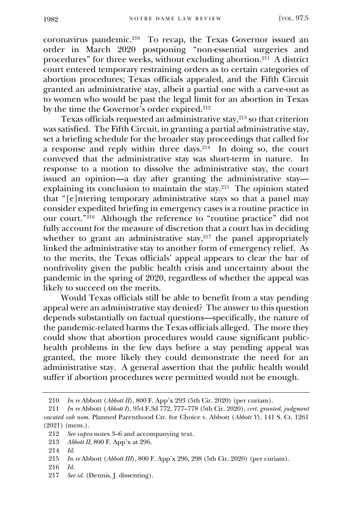coronavirus pandemic.<sup>210</sup> To recap, the Texas Governor issued an order in March 2020 postponing "non-essential surgeries and procedures" for three weeks, without excluding abortion.<sup>211</sup> A district court entered temporary restraining orders as to certain categories of abortion procedures; Texas officials appealed, and the Fifth Circuit granted an administrative stay, albeit a partial one with a carve-out as to women who would be past the legal limit for an abortion in Texas by the time the Governor's order expired.<sup>212</sup>

Texas officials requested an administrative stay, $2^{13}$  so that criterion was satisfied. The Fifth Circuit, in granting a partial administrative stay, set a briefing schedule for the broader stay proceedings that called for a response and reply within three days.<sup>214</sup> In doing so, the court conveyed that the administrative stay was short-term in nature. In response to a motion to dissolve the administrative stay, the court issued an opinion—a day after granting the administrative stay explaining its conclusion to maintain the stay.<sup>215</sup> The opinion stated that "[e]ntering temporary administrative stays so that a panel may consider expedited briefing in emergency cases is a routine practice in our court."<sup>216</sup> Although the reference to "routine practice" did not fully account for the measure of discretion that a court has in deciding whether to grant an administrative stay,  $217$  the panel appropriately linked the administrative stay to another form of emergency relief. As to the merits, the Texas officials' appeal appears to clear the bar of nonfrivolity given the public health crisis and uncertainty about the pandemic in the spring of 2020, regardless of whether the appeal was likely to succeed on the merits.

Would Texas officials still be able to benefit from a stay pending appeal were an administrative stay denied? The answer to this question depends substantially on factual questions—specifically, the nature of the pandemic-related harms the Texas officials alleged. The more they could show that abortion procedures would cause significant publichealth problems in the few days before a stay pending appeal was granted, the more likely they could demonstrate the need for an administrative stay. A general assertion that the public health would suffer if abortion procedures were permitted would not be enough.

213 *Abbott II*, 800 F. App'x at 296.

217 *See id.* (Dennis, J. dissenting).

<sup>210</sup> *In re* Abbott (*Abbott II*), 800 F. App'x 293 (5th Cir. 2020) (per curiam).

<sup>211</sup> *In re* Abbott (*Abbott I*), 954 F.3d 772, 777–778 (5th Cir. 2020), *cert. granted*, *judgment vacated sub nom.* Planned Parenthood Ctr. for Choice v. Abbott (*Abbott V*), 141 S. Ct. 1261 (2021) (mem.).

<sup>212</sup> *See supra* notes 3–6 and accompanying text.

<sup>214</sup> *Id*.

<sup>215</sup> *In re* Abbott (*Abbott III*), 800 F. App'x 296, 298 (5th Cir. 2020) (per curiam).

<sup>216</sup> *Id.*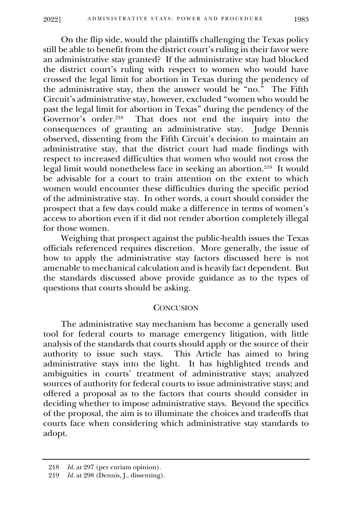On the flip side, would the plaintiffs challenging the Texas policy still be able to benefit from the district court's ruling in their favor were an administrative stay granted? If the administrative stay had blocked the district court's ruling with respect to women who would have crossed the legal limit for abortion in Texas during the pendency of the administrative stay, then the answer would be "no." The Fifth Circuit's administrative stay, however, excluded "women who would be past the legal limit for abortion in Texas" during the pendency of the Governor's order.<sup>218</sup> That does not end the inquiry into the ting an administrative stay. Indee Dennis consequences of granting an administrative stay. observed, dissenting from the Fifth Circuit's decision to maintain an administrative stay, that the district court had made findings with respect to increased difficulties that women who would not cross the legal limit would nonetheless face in seeking an abortion.<sup>219</sup> It would be advisable for a court to train attention on the extent to which women would encounter these difficulties during the specific period of the administrative stay. In other words, a court should consider the prospect that a few days could make a difference in terms of women's access to abortion even if it did not render abortion completely illegal for those women.

Weighing that prospect against the public-health issues the Texas officials referenced requires discretion. More generally, the issue of how to apply the administrative stay factors discussed here is not amenable to mechanical calculation and is heavily fact dependent. But the standards discussed above provide guidance as to the types of questions that courts should be asking.

## **CONCUSION**

<span id="page-42-0"></span>The administrative stay mechanism has become a generally used tool for federal courts to manage emergency litigation, with little analysis of the standards that courts should apply or the source of their authority to issue such stays. This Article has aimed to bring administrative stays into the light. It has highlighted trends and ambiguities in courts' treatment of administrative stays; analyzed sources of authority for federal courts to issue administrative stays; and offered a proposal as to the factors that courts should consider in deciding whether to impose administrative stays. Beyond the specifics of the proposal, the aim is to illuminate the choices and tradeoffs that courts face when considering which administrative stay standards to adopt.

<sup>218</sup> *Id.* at 297 (per curiam opinion).

<sup>219</sup> *Id.* at 298 (Dennis, J., dissenting).